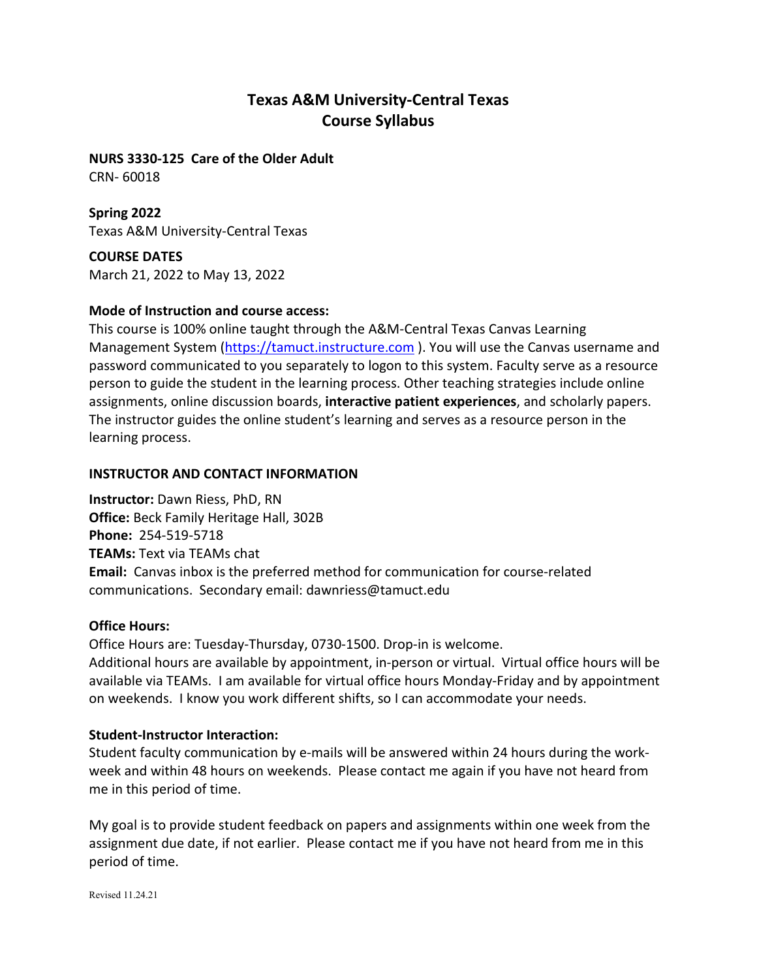# **Texas A&M University-Central Texas Course Syllabus**

**NURS 3330-125 Care of the Older Adult** CRN- 60018

**Spring 2022** Texas A&M University-Central Texas

**COURSE DATES** March 21, 2022 to May 13, 2022

### **Mode of Instruction and course access:**

This course is 100% online taught through the A&M-Central Texas Canvas Learning Management System [\(https://tamuct.instructure.com](https://tamuct.instructure.com/) ). You will use the Canvas username and password communicated to you separately to logon to this system. Faculty serve as a resource person to guide the student in the learning process. Other teaching strategies include online assignments, online discussion boards, **interactive patient experiences**, and scholarly papers. The instructor guides the online student's learning and serves as a resource person in the learning process.

#### **INSTRUCTOR AND CONTACT INFORMATION**

**Instructor:** Dawn Riess, PhD, RN **Office:** Beck Family Heritage Hall, 302B **Phone:** 254-519-5718 **TEAMs:** Text via TEAMs chat **Email:** Canvas inbox is the preferred method for communication for course-related communications. Secondary email: dawnriess@tamuct.edu

#### **Office Hours:**

Office Hours are: Tuesday-Thursday, 0730-1500. Drop-in is welcome. Additional hours are available by appointment, in-person or virtual. Virtual office hours will be available via TEAMs. I am available for virtual office hours Monday-Friday and by appointment on weekends. I know you work different shifts, so I can accommodate your needs.

#### **Student-Instructor Interaction:**

Student faculty communication by e-mails will be answered within 24 hours during the workweek and within 48 hours on weekends. Please contact me again if you have not heard from me in this period of time.

My goal is to provide student feedback on papers and assignments within one week from the assignment due date, if not earlier. Please contact me if you have not heard from me in this period of time.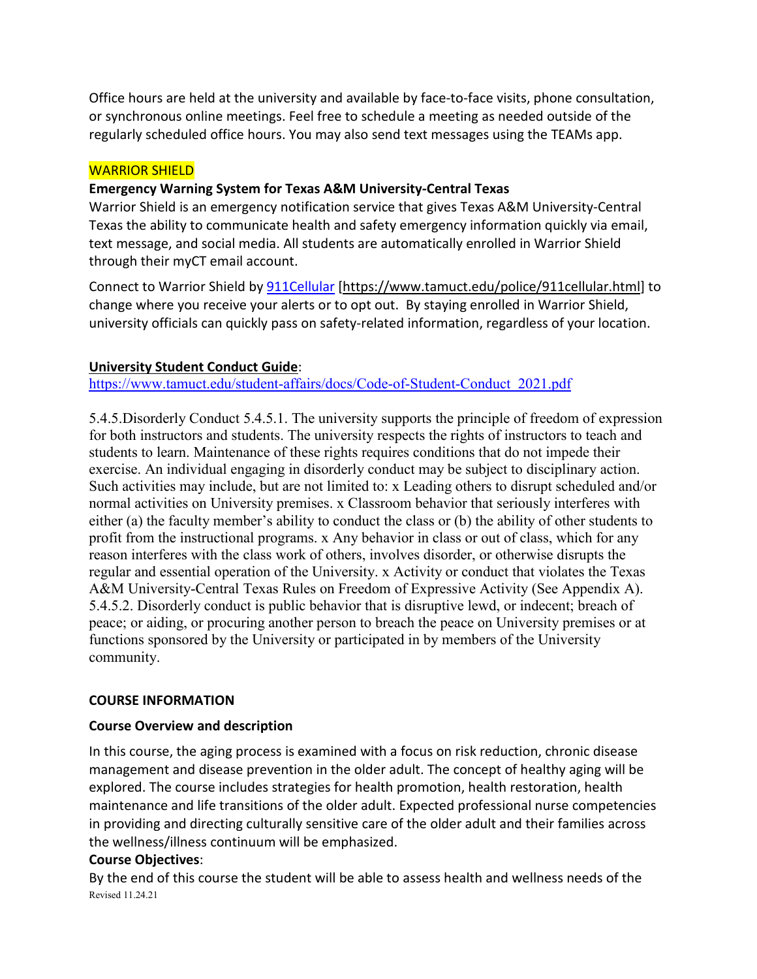Office hours are held at the university and available by face-to-face visits, phone consultation, or synchronous online meetings. Feel free to schedule a meeting as needed outside of the regularly scheduled office hours. You may also send text messages using the TEAMs app.

## WARRIOR SHIELD

# **Emergency Warning System for Texas A&M University-Central Texas**

Warrior Shield is an emergency notification service that gives Texas A&M University-Central Texas the ability to communicate health and safety emergency information quickly via email, text message, and social media. All students are automatically enrolled in Warrior Shield through their myCT email account.

Connect to Warrior Shield b[y 911Cellular](https://www.tamuct.edu/police/911cellular.html) [\[https://www.tamuct.edu/police/911cellular.html\]](https://www.tamuct.edu/police/911cellular.html) to change where you receive your alerts or to opt out. By staying enrolled in Warrior Shield, university officials can quickly pass on safety-related information, regardless of your location.

# **University Student Conduct Guide**:

[https://www.tamuct.edu/student-affairs/docs/Code-of-Student-Conduct\\_2021.pdf](https://nam04.safelinks.protection.outlook.com/?url=https%3A%2F%2Fwww.tamuct.edu%2Fstudent-affairs%2Fdocs%2FCode-of-Student-Conduct_2021.pdf&data=04%7C01%7Cdawnriess%40tamuct.edu%7Cd23b1ef83aef447a684e08d9640b8c11%7C9eed4e3000f744849ff193ad8005acec%7C0%7C0%7C637650823013530413%7CUnknown%7CTWFpbGZsb3d8eyJWIjoiMC4wLjAwMDAiLCJQIjoiV2luMzIiLCJBTiI6Ik1haWwiLCJXVCI6Mn0%3D%7C1000&sdata=HNULVdxv%2BBEa15A9lbFtYlohZEWbxKqePKBT15SRg10%3D&reserved=0)

5.4.5.Disorderly Conduct 5.4.5.1. The university supports the principle of freedom of expression for both instructors and students. The university respects the rights of instructors to teach and students to learn. Maintenance of these rights requires conditions that do not impede their exercise. An individual engaging in disorderly conduct may be subject to disciplinary action. Such activities may include, but are not limited to: x Leading others to disrupt scheduled and/or normal activities on University premises. x Classroom behavior that seriously interferes with either (a) the faculty member's ability to conduct the class or (b) the ability of other students to profit from the instructional programs. x Any behavior in class or out of class, which for any reason interferes with the class work of others, involves disorder, or otherwise disrupts the regular and essential operation of the University. x Activity or conduct that violates the Texas A&M University-Central Texas Rules on Freedom of Expressive Activity (See Appendix A). 5.4.5.2. Disorderly conduct is public behavior that is disruptive lewd, or indecent; breach of peace; or aiding, or procuring another person to breach the peace on University premises or at functions sponsored by the University or participated in by members of the University community.

### **COURSE INFORMATION**

### **Course Overview and description**

In this course, the aging process is examined with a focus on risk reduction, chronic disease management and disease prevention in the older adult. The concept of healthy aging will be explored. The course includes strategies for health promotion, health restoration, health maintenance and life transitions of the older adult. Expected professional nurse competencies in providing and directing culturally sensitive care of the older adult and their families across the wellness/illness continuum will be emphasized.

### **Course Objectives**:

Revised 11.24.21 By the end of this course the student will be able to assess health and wellness needs of the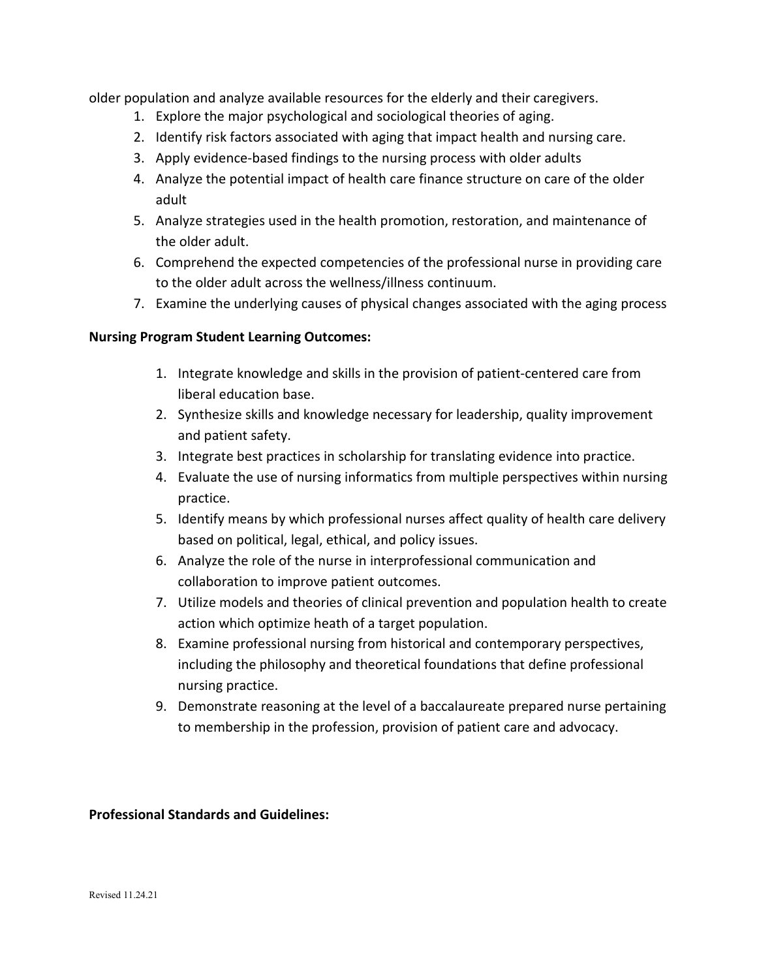older population and analyze available resources for the elderly and their caregivers.

- 1. Explore the major psychological and sociological theories of aging.
- 2. Identify risk factors associated with aging that impact health and nursing care.
- 3. Apply evidence-based findings to the nursing process with older adults
- 4. Analyze the potential impact of health care finance structure on care of the older adult
- 5. Analyze strategies used in the health promotion, restoration, and maintenance of the older adult.
- 6. Comprehend the expected competencies of the professional nurse in providing care to the older adult across the wellness/illness continuum.
- 7. Examine the underlying causes of physical changes associated with the aging process

# **Nursing Program Student Learning Outcomes:**

- 1. Integrate knowledge and skills in the provision of patient-centered care from liberal education base.
- 2. Synthesize skills and knowledge necessary for leadership, quality improvement and patient safety.
- 3. Integrate best practices in scholarship for translating evidence into practice.
- 4. Evaluate the use of nursing informatics from multiple perspectives within nursing practice.
- 5. Identify means by which professional nurses affect quality of health care delivery based on political, legal, ethical, and policy issues.
- 6. Analyze the role of the nurse in interprofessional communication and collaboration to improve patient outcomes.
- 7. Utilize models and theories of clinical prevention and population health to create action which optimize heath of a target population.
- 8. Examine professional nursing from historical and contemporary perspectives, including the philosophy and theoretical foundations that define professional nursing practice.
- 9. Demonstrate reasoning at the level of a baccalaureate prepared nurse pertaining to membership in the profession, provision of patient care and advocacy.

### **Professional Standards and Guidelines:**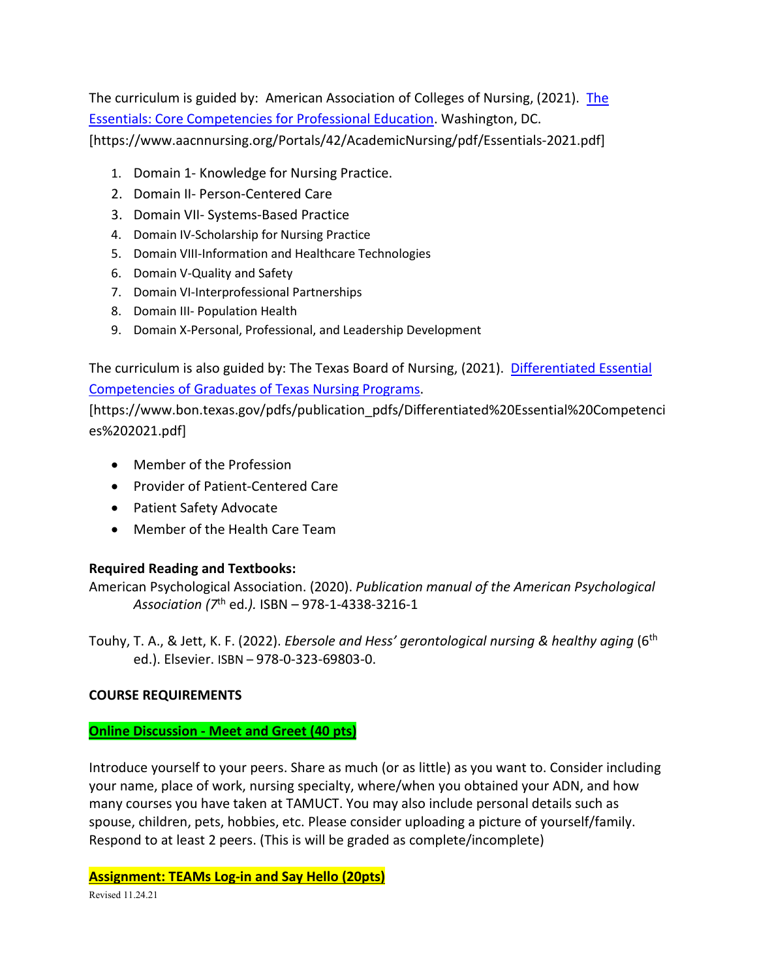The curriculum is guided by: American Association of Colleges of Nursing, (2021). [The](https://www.aacnnursing.org/Portals/42/AcademicNursing/pdf/Essentials-2021.pdf)  [Essentials: Core Competencies for Professional Education.](https://www.aacnnursing.org/Portals/42/AcademicNursing/pdf/Essentials-2021.pdf) Washington, DC. [https://www.aacnnursing.org/Portals/42/AcademicNursing/pdf/Essentials-2021.pdf]

- 1. Domain 1- Knowledge for Nursing Practice.
- 2. Domain II- Person-Centered Care
- 3. Domain VII- Systems-Based Practice
- 4. Domain IV-Scholarship for Nursing Practice
- 5. Domain VIII-Information and Healthcare Technologies
- 6. Domain V-Quality and Safety
- 7. Domain VI-Interprofessional Partnerships
- 8. Domain III- Population Health
- 9. Domain X-Personal, Professional, and Leadership Development

The curriculum is also guided by: The Texas Board of Nursing, (2021). [Differentiated Essential](https://www.bon.texas.gov/pdfs/publication_pdfs/Differentiated%20Essential%20Competencies%202021.pdf)  [Competencies of Graduates of Texas Nursing Programs.](https://www.bon.texas.gov/pdfs/publication_pdfs/Differentiated%20Essential%20Competencies%202021.pdf)

[https://www.bon.texas.gov/pdfs/publication\_pdfs/Differentiated%20Essential%20Competenci es%202021.pdf]

- Member of the Profession
- Provider of Patient-Centered Care
- Patient Safety Advocate
- Member of the Health Care Team

# **Required Reading and Textbooks:**

American Psychological Association. (2020). *Publication manual of the American Psychological Association (7*th ed*.).* ISBN – 978-1-4338-3216-1

Touhy, T. A., & Jett, K. F. (2022). *Ebersole and Hess' gerontological nursing & healthy aging* (6th ed.). Elsevier. ISBN – 978-0-323-69803-0.

### **COURSE REQUIREMENTS**

### **Online Discussion - Meet and Greet (40 pts)**

Introduce yourself to your peers. Share as much (or as little) as you want to. Consider including your name, place of work, nursing specialty, where/when you obtained your ADN, and how many courses you have taken at TAMUCT. You may also include personal details such as spouse, children, pets, hobbies, etc. Please consider uploading a picture of yourself/family. Respond to at least 2 peers. (This is will be graded as complete/incomplete)

**Assignment: TEAMs Log-in and Say Hello (20pts)**

Revised 11.24.21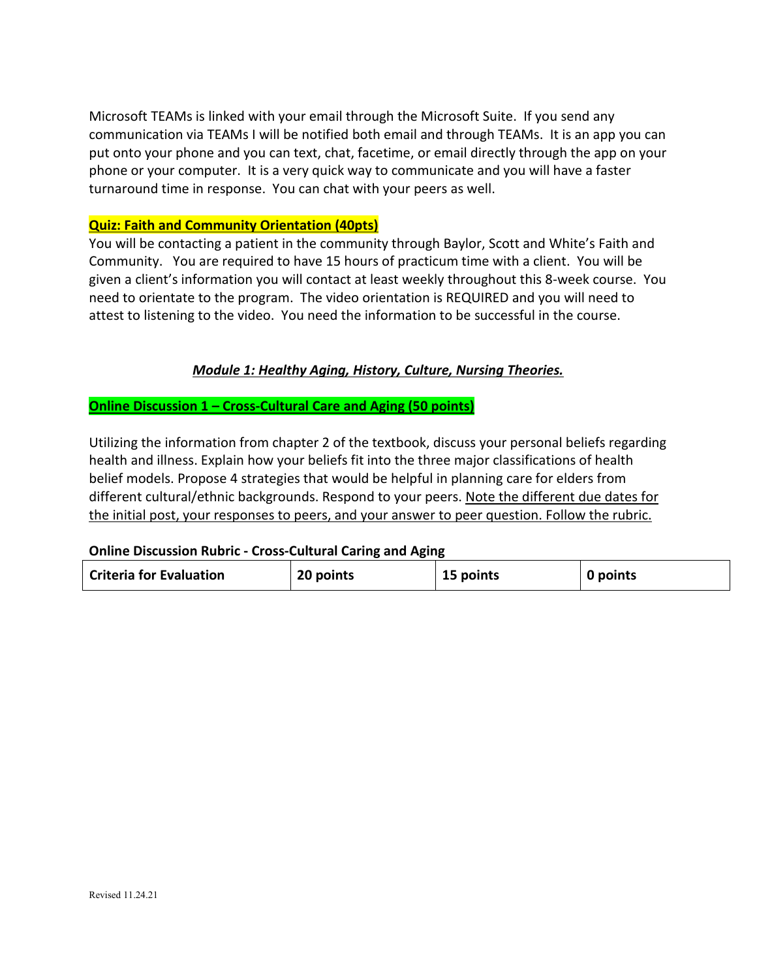Microsoft TEAMs is linked with your email through the Microsoft Suite. If you send any communication via TEAMs I will be notified both email and through TEAMs. It is an app you can put onto your phone and you can text, chat, facetime, or email directly through the app on your phone or your computer. It is a very quick way to communicate and you will have a faster turnaround time in response. You can chat with your peers as well.

#### **Quiz: Faith and Community Orientation (40pts)**

You will be contacting a patient in the community through Baylor, Scott and White's Faith and Community. You are required to have 15 hours of practicum time with a client. You will be given a client's information you will contact at least weekly throughout this 8-week course. You need to orientate to the program. The video orientation is REQUIRED and you will need to attest to listening to the video. You need the information to be successful in the course.

# *Module 1: Healthy Aging, History, Culture, Nursing Theories.*

**Online Discussion 1 – Cross-Cultural Care and Aging (50 points)**

Utilizing the information from chapter 2 of the textbook, discuss your personal beliefs regarding health and illness. Explain how your beliefs fit into the three major classifications of health belief models. Propose 4 strategies that would be helpful in planning care for elders from different cultural/ethnic backgrounds. Respond to your peers. Note the different due dates for the initial post, your responses to peers, and your answer to peer question. Follow the rubric.

### **Online Discussion Rubric - Cross-Cultural Caring and Aging**

| <b>Criteria for Evaluation</b> | 20 points | 15 points | 0 points |
|--------------------------------|-----------|-----------|----------|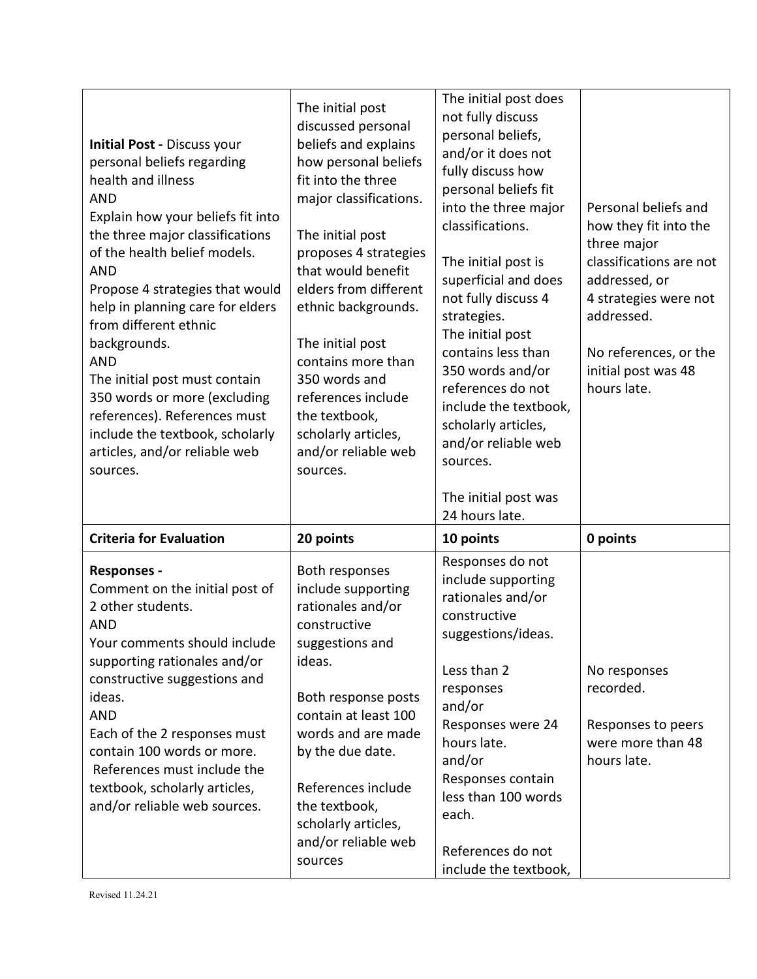| <b>Initial Post - Discuss your</b><br>personal beliefs regarding<br>health and illness<br><b>AND</b><br>Explain how your beliefs fit into<br>the three major classifications<br>of the health belief models.<br><b>AND</b><br>Propose 4 strategies that would<br>help in planning care for elders<br>from different ethnic<br>backgrounds.<br><b>AND</b><br>The initial post must contain<br>350 words or more (excluding<br>references). References must<br>include the textbook, scholarly<br>articles, and/or reliable web<br>sources. | The initial post<br>discussed personal<br>beliefs and explains<br>how personal beliefs<br>fit into the three<br>major classifications.<br>The initial post<br>proposes 4 strategies<br>that would benefit<br>elders from different<br>ethnic backgrounds.<br>The initial post<br>contains more than<br>350 words and<br>references include<br>the textbook,<br>scholarly articles,<br>and/or reliable web<br>sources. | The initial post does<br>not fully discuss<br>personal beliefs,<br>and/or it does not<br>fully discuss how<br>personal beliefs fit<br>into the three major<br>classifications.<br>The initial post is<br>superficial and does<br>not fully discuss 4<br>strategies.<br>The initial post<br>contains less than<br>350 words and/or<br>references do not<br>include the textbook,<br>scholarly articles,<br>and/or reliable web<br>sources.<br>The initial post was | Personal beliefs and<br>how they fit into the<br>three major<br>classifications are not<br>addressed, or<br>4 strategies were not<br>addressed.<br>No references, or the<br>initial post was 48<br>hours late. |
|-------------------------------------------------------------------------------------------------------------------------------------------------------------------------------------------------------------------------------------------------------------------------------------------------------------------------------------------------------------------------------------------------------------------------------------------------------------------------------------------------------------------------------------------|-----------------------------------------------------------------------------------------------------------------------------------------------------------------------------------------------------------------------------------------------------------------------------------------------------------------------------------------------------------------------------------------------------------------------|-------------------------------------------------------------------------------------------------------------------------------------------------------------------------------------------------------------------------------------------------------------------------------------------------------------------------------------------------------------------------------------------------------------------------------------------------------------------|----------------------------------------------------------------------------------------------------------------------------------------------------------------------------------------------------------------|
| <b>Criteria for Evaluation</b>                                                                                                                                                                                                                                                                                                                                                                                                                                                                                                            |                                                                                                                                                                                                                                                                                                                                                                                                                       | 24 hours late.                                                                                                                                                                                                                                                                                                                                                                                                                                                    |                                                                                                                                                                                                                |
|                                                                                                                                                                                                                                                                                                                                                                                                                                                                                                                                           | 20 points                                                                                                                                                                                                                                                                                                                                                                                                             | 10 points<br>Responses do not                                                                                                                                                                                                                                                                                                                                                                                                                                     | 0 points                                                                                                                                                                                                       |
| <b>Responses -</b><br>Comment on the initial post of<br>2 other students.<br><b>AND</b><br>Your comments should include<br>supporting rationales and/or<br>constructive suggestions and<br>ideas.<br><b>AND</b><br>Each of the 2 responses must<br>contain 100 words or more.<br>References must include the<br>textbook, scholarly articles,<br>and/or reliable web sources.                                                                                                                                                             | Both responses<br>include supporting<br>rationales and/or<br>constructive<br>suggestions and<br>ideas.<br>Both response posts<br>contain at least 100<br>words and are made<br>by the due date.<br>References include<br>the textbook,<br>scholarly articles,<br>and/or reliable web<br>sources                                                                                                                       | include supporting<br>rationales and/or<br>constructive<br>suggestions/ideas.<br>Less than 2<br>responses<br>and/or<br>Responses were 24<br>hours late.<br>and/or<br>Responses contain<br>less than 100 words<br>each.<br>References do not<br>include the textbook,                                                                                                                                                                                              | No responses<br>recorded.<br>Responses to peers<br>were more than 48<br>hours late.                                                                                                                            |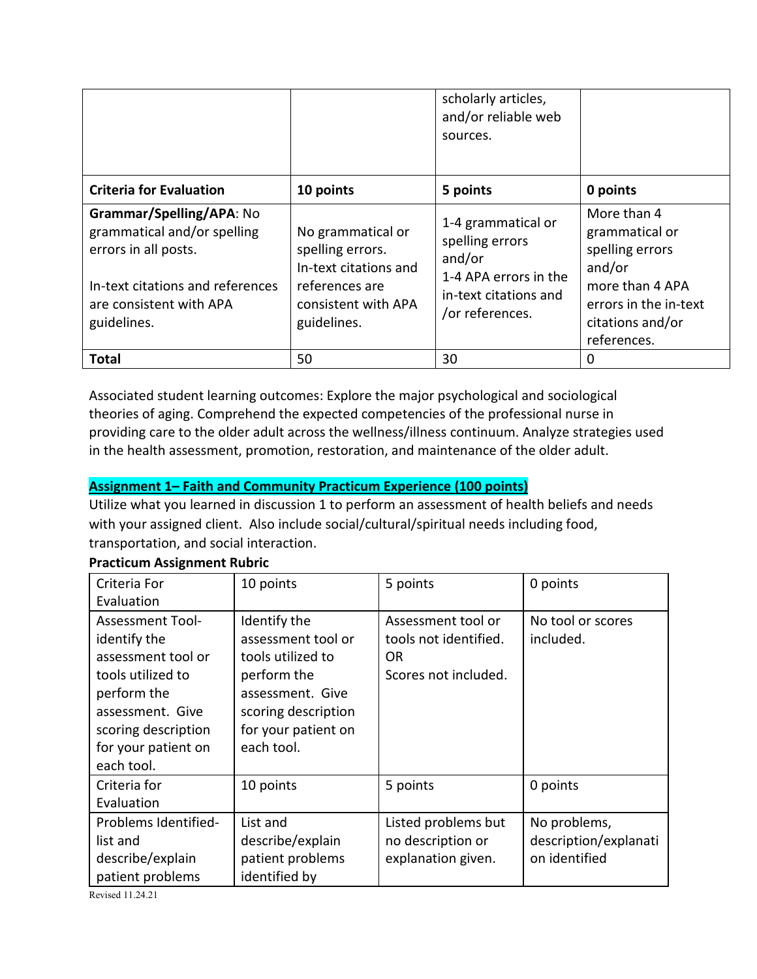|                                                                                                                                                               |                                                                                                                        | scholarly articles,<br>and/or reliable web<br>sources.                                                               |                                                                                                                                           |
|---------------------------------------------------------------------------------------------------------------------------------------------------------------|------------------------------------------------------------------------------------------------------------------------|----------------------------------------------------------------------------------------------------------------------|-------------------------------------------------------------------------------------------------------------------------------------------|
| <b>Criteria for Evaluation</b>                                                                                                                                | 10 points                                                                                                              | 5 points                                                                                                             | 0 points                                                                                                                                  |
| Grammar/Spelling/APA: No<br>grammatical and/or spelling<br>errors in all posts.<br>In-text citations and references<br>are consistent with APA<br>guidelines. | No grammatical or<br>spelling errors.<br>In-text citations and<br>references are<br>consistent with APA<br>guidelines. | 1-4 grammatical or<br>spelling errors<br>and/or<br>1-4 APA errors in the<br>in-text citations and<br>/or references. | More than 4<br>grammatical or<br>spelling errors<br>and/or<br>more than 4 APA<br>errors in the in-text<br>citations and/or<br>references. |
| Total                                                                                                                                                         | 50                                                                                                                     | 30                                                                                                                   | 0                                                                                                                                         |

Associated student learning outcomes: Explore the major psychological and sociological theories of aging. Comprehend the expected competencies of the professional nurse in providing care to the older adult across the wellness/illness continuum. Analyze strategies used in the health assessment, promotion, restoration, and maintenance of the older adult.

# **Assignment 1– Faith and Community Practicum Experience (100 points)**

Utilize what you learned in discussion 1 to perform an assessment of health beliefs and needs with your assigned client. Also include social/cultural/spiritual needs including food, transportation, and social interaction.

| Criteria For            | 10 points           | 5 points              | 0 points              |
|-------------------------|---------------------|-----------------------|-----------------------|
| Evaluation              |                     |                       |                       |
| <b>Assessment Tool-</b> | Identify the        | Assessment tool or    | No tool or scores     |
| identify the            | assessment tool or  | tools not identified. | included.             |
| assessment tool or      | tools utilized to   | OR.                   |                       |
| tools utilized to       | perform the         | Scores not included.  |                       |
| perform the             | assessment. Give    |                       |                       |
| assessment. Give        | scoring description |                       |                       |
| scoring description     | for your patient on |                       |                       |
| for your patient on     | each tool.          |                       |                       |
| each tool.              |                     |                       |                       |
| Criteria for            | 10 points           | 5 points              | 0 points              |
| Evaluation              |                     |                       |                       |
| Problems Identified-    | List and            | Listed problems but   | No problems,          |
| list and                | describe/explain    | no description or     | description/explanati |
| describe/explain        | patient problems    | explanation given.    | on identified         |
| patient problems        | identified by       |                       |                       |

### **Practicum Assignment Rubric**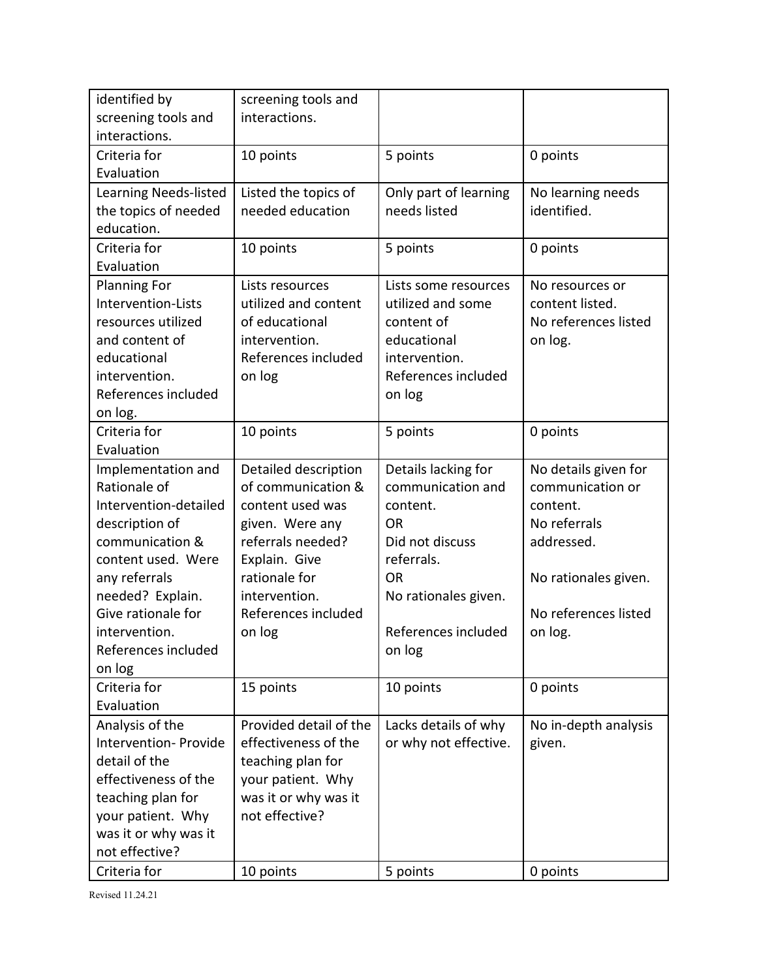| identified by<br>screening tools and | screening tools and<br>interactions. |                       |                      |
|--------------------------------------|--------------------------------------|-----------------------|----------------------|
| interactions.                        |                                      |                       |                      |
| Criteria for                         | 10 points                            | 5 points              | 0 points             |
| Evaluation                           |                                      |                       |                      |
| Learning Needs-listed                | Listed the topics of                 | Only part of learning | No learning needs    |
| the topics of needed                 | needed education                     | needs listed          | identified.          |
| education.                           |                                      |                       |                      |
| Criteria for                         | 10 points                            | 5 points              | 0 points             |
| Evaluation                           |                                      |                       |                      |
| <b>Planning For</b>                  | Lists resources                      | Lists some resources  | No resources or      |
| Intervention-Lists                   | utilized and content                 | utilized and some     | content listed.      |
| resources utilized                   | of educational                       | content of            | No references listed |
| and content of                       | intervention.                        | educational           | on log.              |
| educational                          | References included                  | intervention.         |                      |
| intervention.                        | on log                               | References included   |                      |
| References included                  |                                      | on log                |                      |
| on log.                              |                                      |                       |                      |
| Criteria for                         | 10 points                            | 5 points              | 0 points             |
| Evaluation                           |                                      |                       |                      |
| Implementation and                   | Detailed description                 | Details lacking for   | No details given for |
| Rationale of                         | of communication &                   | communication and     | communication or     |
| Intervention-detailed                | content used was                     | content.              | content.             |
| description of                       | given. Were any                      | <b>OR</b>             | No referrals         |
| communication &                      | referrals needed?                    | Did not discuss       | addressed.           |
| content used. Were                   | Explain. Give                        | referrals.            |                      |
| any referrals                        | rationale for                        | <b>OR</b>             | No rationales given. |
| needed? Explain.                     | intervention.                        | No rationales given.  |                      |
| Give rationale for                   | References included                  |                       | No references listed |
| intervention.                        | on log                               | References included   | on log.              |
| References included                  |                                      | on log                |                      |
| on log                               |                                      |                       |                      |
| Criteria for                         | 15 points                            | 10 points             | 0 points             |
| Evaluation                           |                                      |                       |                      |
| Analysis of the                      | Provided detail of the               | Lacks details of why  | No in-depth analysis |
| Intervention- Provide                | effectiveness of the                 | or why not effective. | given.               |
| detail of the                        | teaching plan for                    |                       |                      |
| effectiveness of the                 | your patient. Why                    |                       |                      |
| teaching plan for                    | was it or why was it                 |                       |                      |
| your patient. Why                    | not effective?                       |                       |                      |
| was it or why was it                 |                                      |                       |                      |
| not effective?                       |                                      |                       |                      |
| Criteria for                         | 10 points                            | 5 points              | 0 points             |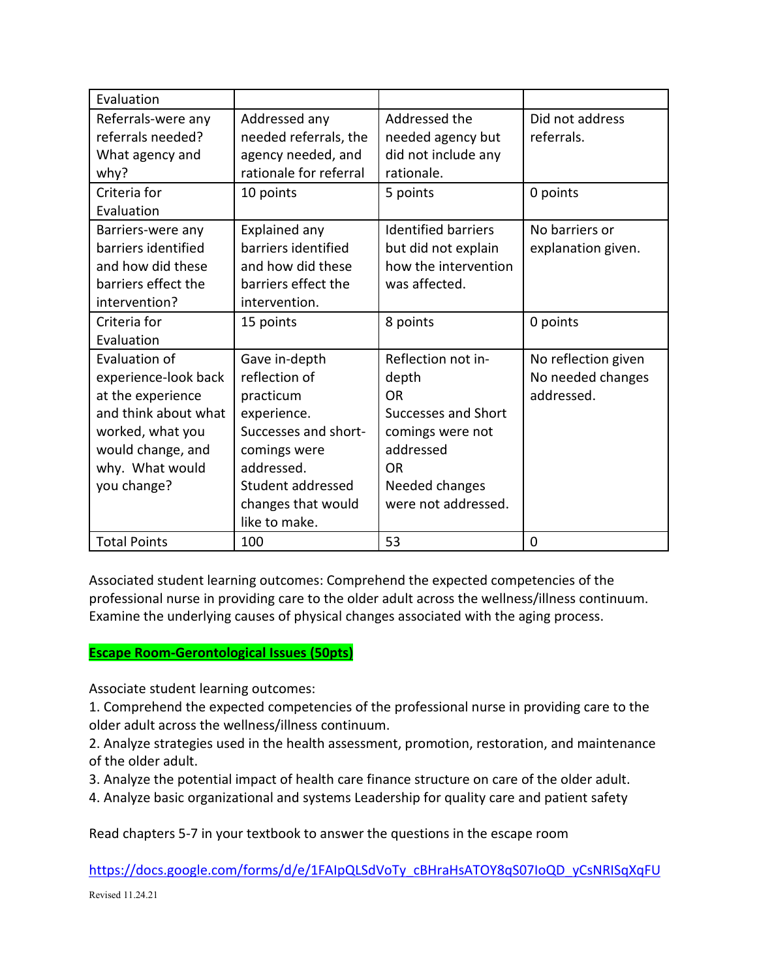| Evaluation           |                        |                            |                     |
|----------------------|------------------------|----------------------------|---------------------|
| Referrals-were any   | Addressed any          | Addressed the              | Did not address     |
| referrals needed?    | needed referrals, the  | needed agency but          | referrals.          |
| What agency and      | agency needed, and     | did not include any        |                     |
| why?                 | rationale for referral | rationale.                 |                     |
| Criteria for         | 10 points              | 5 points                   | 0 points            |
| Evaluation           |                        |                            |                     |
| Barriers-were any    | Explained any          | <b>Identified barriers</b> | No barriers or      |
| barriers identified  | barriers identified    | but did not explain        | explanation given.  |
| and how did these    | and how did these      | how the intervention       |                     |
| barriers effect the  | barriers effect the    | was affected.              |                     |
| intervention?        | intervention.          |                            |                     |
| Criteria for         | 15 points              | 8 points                   | 0 points            |
| Evaluation           |                        |                            |                     |
| Evaluation of        | Gave in-depth          | Reflection not in-         | No reflection given |
| experience-look back | reflection of          | depth                      | No needed changes   |
| at the experience    | practicum              | <b>OR</b>                  | addressed.          |
| and think about what | experience.            | <b>Successes and Short</b> |                     |
| worked, what you     | Successes and short-   | comings were not           |                     |
| would change, and    | comings were           | addressed                  |                     |
| why. What would      | addressed.             | <b>OR</b>                  |                     |
| you change?          | Student addressed      | Needed changes             |                     |
|                      | changes that would     | were not addressed.        |                     |
|                      | like to make.          |                            |                     |
| <b>Total Points</b>  | 100                    | 53                         | 0                   |

Associated student learning outcomes: Comprehend the expected competencies of the professional nurse in providing care to the older adult across the wellness/illness continuum. Examine the underlying causes of physical changes associated with the aging process.

### **Escape Room-Gerontological Issues (50pts)**

Associate student learning outcomes:

1. Comprehend the expected competencies of the professional nurse in providing care to the older adult across the wellness/illness continuum.

2. Analyze strategies used in the health assessment, promotion, restoration, and maintenance of the older adult.

3. Analyze the potential impact of health care finance structure on care of the older adult.

4. Analyze basic organizational and systems Leadership for quality care and patient safety

Read chapters 5-7 in your textbook to answer the questions in the escape room

[https://docs.google.com/forms/d/e/1FAIpQLSdVoTy\\_cBHraHsATOY8qS07IoQD\\_yCsNRISqXqFU](https://docs.google.com/forms/d/e/1FAIpQLSdVoTy_cBHraHsATOY8qS07IoQD_yCsNRISqXqFUeFg_M_-QA/viewform?usp=sf_link)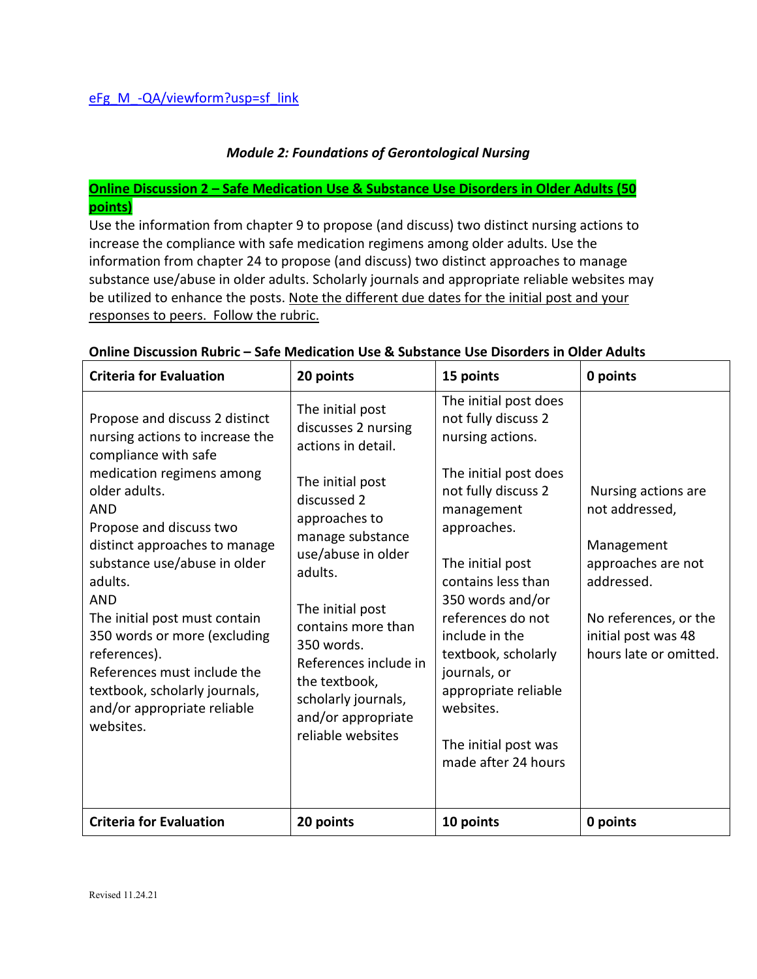## *Module 2: Foundations of Gerontological Nursing*

# **Online Discussion 2 – Safe Medication Use & Substance Use Disorders in Older Adults (50 points)**

Use the information from chapter 9 to propose (and discuss) two distinct nursing actions to increase the compliance with safe medication regimens among older adults. Use the information from chapter 24 to propose (and discuss) two distinct approaches to manage substance use/abuse in older adults. Scholarly journals and appropriate reliable websites may be utilized to enhance the posts. Note the different due dates for the initial post and your responses to peers. Follow the rubric.

| <b>Criteria for Evaluation</b>                                                                                                                                                                                                                                                                                                                                                                                                                                          | 20 points                                                                                                                                                                                                                                                                                                                                  | 15 points                                                                                                                                                                                                                                                                                                                                                                     | 0 points                                                                                                                                                          |
|-------------------------------------------------------------------------------------------------------------------------------------------------------------------------------------------------------------------------------------------------------------------------------------------------------------------------------------------------------------------------------------------------------------------------------------------------------------------------|--------------------------------------------------------------------------------------------------------------------------------------------------------------------------------------------------------------------------------------------------------------------------------------------------------------------------------------------|-------------------------------------------------------------------------------------------------------------------------------------------------------------------------------------------------------------------------------------------------------------------------------------------------------------------------------------------------------------------------------|-------------------------------------------------------------------------------------------------------------------------------------------------------------------|
| Propose and discuss 2 distinct<br>nursing actions to increase the<br>compliance with safe<br>medication regimens among<br>older adults.<br><b>AND</b><br>Propose and discuss two<br>distinct approaches to manage<br>substance use/abuse in older<br>adults.<br><b>AND</b><br>The initial post must contain<br>350 words or more (excluding<br>references).<br>References must include the<br>textbook, scholarly journals,<br>and/or appropriate reliable<br>websites. | The initial post<br>discusses 2 nursing<br>actions in detail.<br>The initial post<br>discussed 2<br>approaches to<br>manage substance<br>use/abuse in older<br>adults.<br>The initial post<br>contains more than<br>350 words.<br>References include in<br>the textbook,<br>scholarly journals,<br>and/or appropriate<br>reliable websites | The initial post does<br>not fully discuss 2<br>nursing actions.<br>The initial post does<br>not fully discuss 2<br>management<br>approaches.<br>The initial post<br>contains less than<br>350 words and/or<br>references do not<br>include in the<br>textbook, scholarly<br>journals, or<br>appropriate reliable<br>websites.<br>The initial post was<br>made after 24 hours | Nursing actions are<br>not addressed,<br>Management<br>approaches are not<br>addressed.<br>No references, or the<br>initial post was 48<br>hours late or omitted. |
| <b>Criteria for Evaluation</b>                                                                                                                                                                                                                                                                                                                                                                                                                                          | 20 points                                                                                                                                                                                                                                                                                                                                  | 10 points                                                                                                                                                                                                                                                                                                                                                                     | 0 points                                                                                                                                                          |

#### **Online Discussion Rubric – Safe Medication Use & Substance Use Disorders in Older Adults**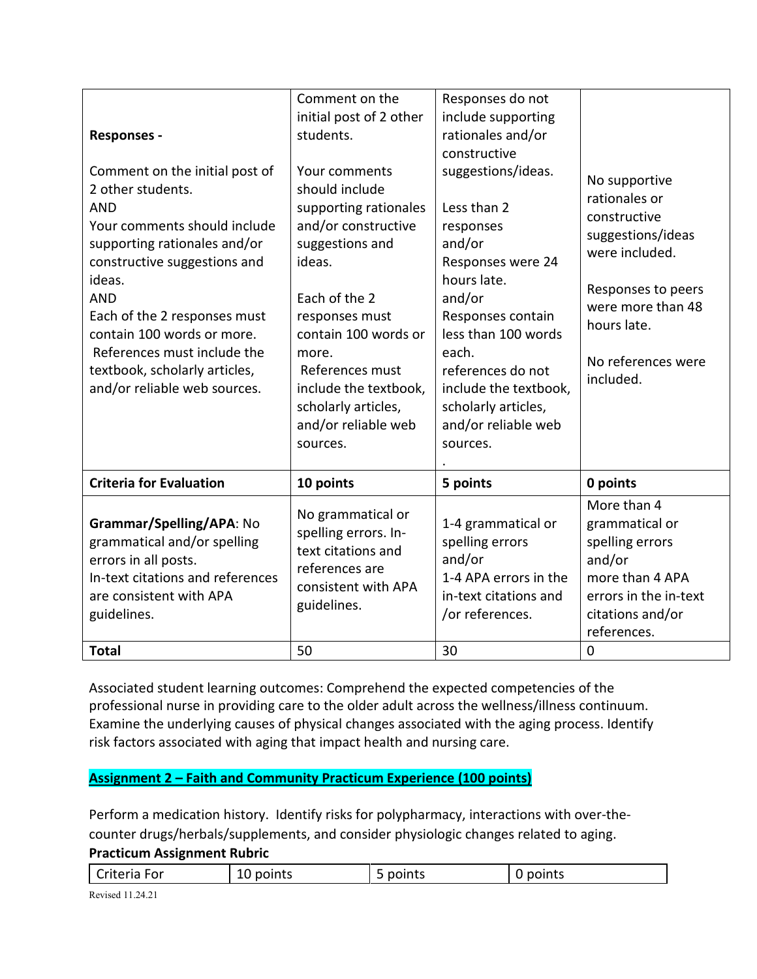| <b>Responses -</b><br>Comment on the initial post of<br>2 other students.<br><b>AND</b><br>Your comments should include<br>supporting rationales and/or<br>constructive suggestions and<br>ideas.<br><b>AND</b><br>Each of the 2 responses must<br>contain 100 words or more.<br>References must include the<br>textbook, scholarly articles,<br>and/or reliable web sources. | Comment on the<br>initial post of 2 other<br>students.<br>Your comments<br>should include<br>supporting rationales<br>and/or constructive<br>suggestions and<br>ideas.<br>Each of the 2<br>responses must<br>contain 100 words or<br>more.<br>References must<br>include the textbook,<br>scholarly articles,<br>and/or reliable web<br>sources. | Responses do not<br>include supporting<br>rationales and/or<br>constructive<br>suggestions/ideas.<br>Less than 2<br>responses<br>and/or<br>Responses were 24<br>hours late.<br>and/or<br>Responses contain<br>less than 100 words<br>each.<br>references do not<br>include the textbook,<br>scholarly articles,<br>and/or reliable web<br>sources. | No supportive<br>rationales or<br>constructive<br>suggestions/ideas<br>were included.<br>Responses to peers<br>were more than 48<br>hours late.<br>No references were<br>included. |
|-------------------------------------------------------------------------------------------------------------------------------------------------------------------------------------------------------------------------------------------------------------------------------------------------------------------------------------------------------------------------------|--------------------------------------------------------------------------------------------------------------------------------------------------------------------------------------------------------------------------------------------------------------------------------------------------------------------------------------------------|----------------------------------------------------------------------------------------------------------------------------------------------------------------------------------------------------------------------------------------------------------------------------------------------------------------------------------------------------|------------------------------------------------------------------------------------------------------------------------------------------------------------------------------------|
| <b>Criteria for Evaluation</b>                                                                                                                                                                                                                                                                                                                                                | 10 points                                                                                                                                                                                                                                                                                                                                        | 5 points                                                                                                                                                                                                                                                                                                                                           | 0 points                                                                                                                                                                           |
| Grammar/Spelling/APA: No<br>grammatical and/or spelling<br>errors in all posts.<br>In-text citations and references<br>are consistent with APA<br>guidelines.<br><b>Total</b>                                                                                                                                                                                                 | No grammatical or<br>spelling errors. In-<br>text citations and<br>references are<br>consistent with APA<br>guidelines.<br>50                                                                                                                                                                                                                    | 1-4 grammatical or<br>spelling errors<br>and/or<br>1-4 APA errors in the<br>in-text citations and<br>/or references.<br>30                                                                                                                                                                                                                         | More than 4<br>grammatical or<br>spelling errors<br>and/or<br>more than 4 APA<br>errors in the in-text<br>citations and/or<br>references.<br>$\mathbf 0$                           |
|                                                                                                                                                                                                                                                                                                                                                                               |                                                                                                                                                                                                                                                                                                                                                  |                                                                                                                                                                                                                                                                                                                                                    |                                                                                                                                                                                    |

Associated student learning outcomes: Comprehend the expected competencies of the professional nurse in providing care to the older adult across the wellness/illness continuum. Examine the underlying causes of physical changes associated with the aging process. Identify risk factors associated with aging that impact health and nursing care.

# **Assignment 2 – Faith and Community Practicum Experience (100 points)**

Perform a medication history. Identify risks for polypharmacy, interactions with over-thecounter drugs/herbals/supplements, and consider physiologic changes related to aging. **Practicum Assignment Rubric**

Criteria For 10 points 10 points 15 points 10 points

Revised 11.24.21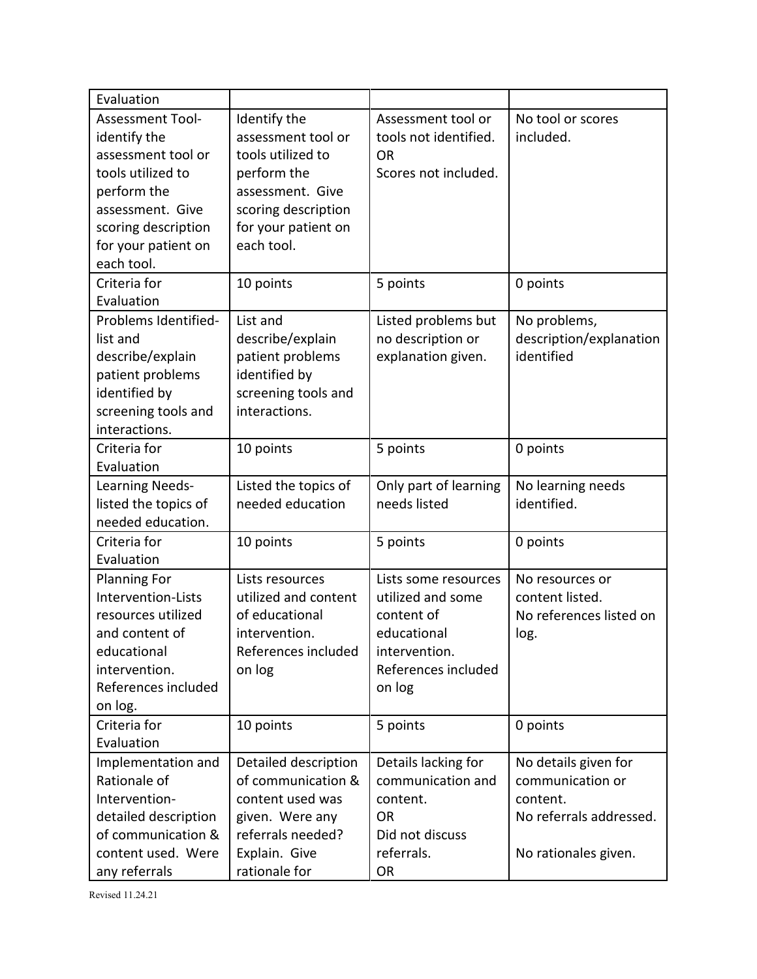| Evaluation                                                                                                                                                                                                      |                                                                                                                                                                     |                                                                                                                          |                                                                                                         |
|-----------------------------------------------------------------------------------------------------------------------------------------------------------------------------------------------------------------|---------------------------------------------------------------------------------------------------------------------------------------------------------------------|--------------------------------------------------------------------------------------------------------------------------|---------------------------------------------------------------------------------------------------------|
| <b>Assessment Tool-</b><br>identify the<br>assessment tool or<br>tools utilized to<br>perform the<br>assessment. Give<br>scoring description<br>for your patient on<br>each tool.<br>Criteria for<br>Evaluation | Identify the<br>assessment tool or<br>tools utilized to<br>perform the<br>assessment. Give<br>scoring description<br>for your patient on<br>each tool.<br>10 points | Assessment tool or<br>tools not identified.<br><b>OR</b><br>Scores not included.<br>5 points                             | No tool or scores<br>included.<br>0 points                                                              |
| Problems Identified-<br>list and<br>describe/explain<br>patient problems<br>identified by<br>screening tools and<br>interactions.                                                                               | List and<br>describe/explain<br>patient problems<br>identified by<br>screening tools and<br>interactions.                                                           | Listed problems but<br>no description or<br>explanation given.                                                           | No problems,<br>description/explanation<br>identified                                                   |
| Criteria for<br>Evaluation                                                                                                                                                                                      | 10 points                                                                                                                                                           | 5 points                                                                                                                 | 0 points                                                                                                |
| Learning Needs-<br>listed the topics of<br>needed education.                                                                                                                                                    | Listed the topics of<br>needed education                                                                                                                            | Only part of learning<br>needs listed                                                                                    | No learning needs<br>identified.                                                                        |
| Criteria for<br>Evaluation                                                                                                                                                                                      | 10 points                                                                                                                                                           | 5 points                                                                                                                 | 0 points                                                                                                |
| <b>Planning For</b><br>Intervention-Lists<br>resources utilized<br>and content of<br>educational<br>intervention.<br>References included<br>on log.                                                             | Lists resources<br>utilized and content<br>of educational<br>intervention.<br>References included<br>on log                                                         | Lists some resources<br>utilized and some<br>content of<br>educational<br>intervention.<br>References included<br>on log | No resources or<br>content listed.<br>No references listed on<br>log.                                   |
| Criteria for<br>Evaluation                                                                                                                                                                                      | 10 points                                                                                                                                                           | 5 points                                                                                                                 | 0 points                                                                                                |
| Implementation and<br>Rationale of<br>Intervention-<br>detailed description<br>of communication &<br>content used. Were<br>any referrals                                                                        | Detailed description<br>of communication &<br>content used was<br>given. Were any<br>referrals needed?<br>Explain. Give<br>rationale for                            | Details lacking for<br>communication and<br>content.<br><b>OR</b><br>Did not discuss<br>referrals.<br><b>OR</b>          | No details given for<br>communication or<br>content.<br>No referrals addressed.<br>No rationales given. |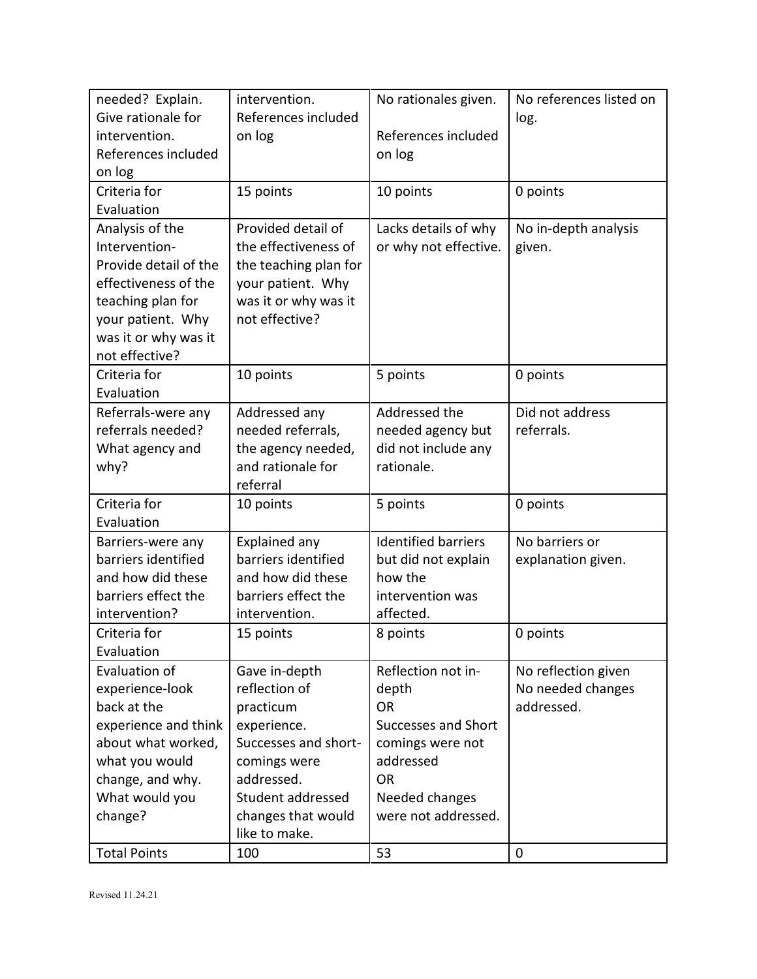| needed? Explain.      | intervention.         | No rationales given.       | No references listed on |
|-----------------------|-----------------------|----------------------------|-------------------------|
| Give rationale for    | References included   |                            | log.                    |
| intervention.         | on log                | References included        |                         |
| References included   |                       | on log                     |                         |
| on log                |                       |                            |                         |
| Criteria for          | 15 points             | 10 points                  | 0 points                |
| Evaluation            |                       |                            |                         |
| Analysis of the       | Provided detail of    | Lacks details of why       | No in-depth analysis    |
| Intervention-         | the effectiveness of  | or why not effective.      | given.                  |
| Provide detail of the | the teaching plan for |                            |                         |
| effectiveness of the  | your patient. Why     |                            |                         |
| teaching plan for     | was it or why was it  |                            |                         |
| your patient. Why     | not effective?        |                            |                         |
| was it or why was it  |                       |                            |                         |
| not effective?        |                       |                            |                         |
| Criteria for          | 10 points             | 5 points                   | 0 points                |
| Evaluation            |                       |                            |                         |
| Referrals-were any    | Addressed any         | Addressed the              | Did not address         |
| referrals needed?     | needed referrals,     | needed agency but          | referrals.              |
| What agency and       | the agency needed,    | did not include any        |                         |
| why?                  | and rationale for     | rationale.                 |                         |
|                       | referral              |                            |                         |
| Criteria for          | 10 points             | 5 points                   | 0 points                |
| Evaluation            |                       |                            |                         |
| Barriers-were any     | Explained any         | <b>Identified barriers</b> | No barriers or          |
| barriers identified   | barriers identified   | but did not explain        | explanation given.      |
| and how did these     | and how did these     | how the                    |                         |
| barriers effect the   | barriers effect the   | intervention was           |                         |
| intervention?         | intervention.         | affected.                  |                         |
| Criteria for          | 15 points             | 8 points                   | 0 points                |
| Evaluation            |                       |                            |                         |
| Evaluation of         | Gave in-depth         | Reflection not in-         | No reflection given     |
| experience-look       | reflection of         | depth                      | No needed changes       |
| back at the           | practicum             | <b>OR</b>                  | addressed.              |
| experience and think  | experience.           | Successes and Short        |                         |
| about what worked,    | Successes and short-  | comings were not           |                         |
| what you would        | comings were          | addressed                  |                         |
| change, and why.      | addressed.            | <b>OR</b>                  |                         |
| What would you        | Student addressed     | Needed changes             |                         |
| change?               | changes that would    | were not addressed.        |                         |
|                       | like to make.         |                            |                         |
| <b>Total Points</b>   | 100                   | 53                         | 0                       |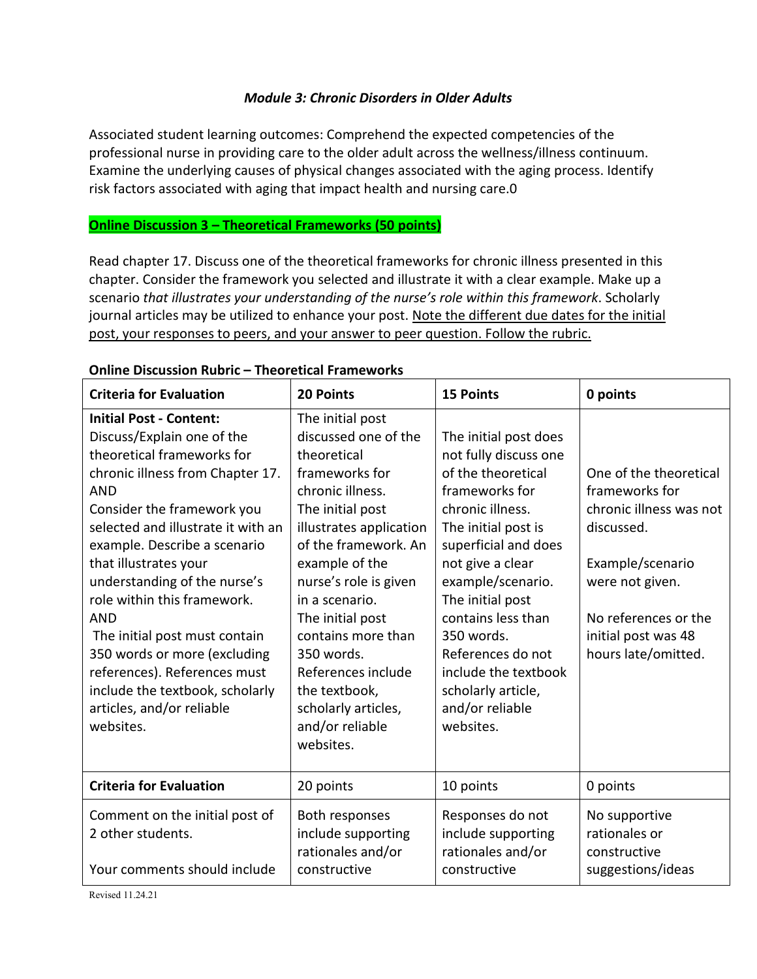# *Module 3: Chronic Disorders in Older Adults*

Associated student learning outcomes: Comprehend the expected competencies of the professional nurse in providing care to the older adult across the wellness/illness continuum. Examine the underlying causes of physical changes associated with the aging process. Identify risk factors associated with aging that impact health and nursing care.0

### **Online Discussion 3 – Theoretical Frameworks (50 points)**

Read chapter 17. Discuss one of the theoretical frameworks for chronic illness presented in this chapter. Consider the framework you selected and illustrate it with a clear example. Make up a scenario *that illustrates your understanding of the nurse's role within this framework*. Scholarly journal articles may be utilized to enhance your post. Note the different due dates for the initial post, your responses to peers, and your answer to peer question. Follow the rubric.

| <b>Criteria for Evaluation</b>                                                                                                                                                                                                                                                                                                                                                                                                                                                                                                       | <b>20 Points</b>                                                                                                                                                                                                                                                                                                                                                                        | <b>15 Points</b>                                                                                                                                                                                                                                                                                                                                              | 0 points                                                                                                                                                                                       |
|--------------------------------------------------------------------------------------------------------------------------------------------------------------------------------------------------------------------------------------------------------------------------------------------------------------------------------------------------------------------------------------------------------------------------------------------------------------------------------------------------------------------------------------|-----------------------------------------------------------------------------------------------------------------------------------------------------------------------------------------------------------------------------------------------------------------------------------------------------------------------------------------------------------------------------------------|---------------------------------------------------------------------------------------------------------------------------------------------------------------------------------------------------------------------------------------------------------------------------------------------------------------------------------------------------------------|------------------------------------------------------------------------------------------------------------------------------------------------------------------------------------------------|
| <b>Initial Post - Content:</b><br>Discuss/Explain one of the<br>theoretical frameworks for<br>chronic illness from Chapter 17.<br><b>AND</b><br>Consider the framework you<br>selected and illustrate it with an<br>example. Describe a scenario<br>that illustrates your<br>understanding of the nurse's<br>role within this framework.<br><b>AND</b><br>The initial post must contain<br>350 words or more (excluding<br>references). References must<br>include the textbook, scholarly<br>articles, and/or reliable<br>websites. | The initial post<br>discussed one of the<br>theoretical<br>frameworks for<br>chronic illness.<br>The initial post<br>illustrates application<br>of the framework. An<br>example of the<br>nurse's role is given<br>in a scenario.<br>The initial post<br>contains more than<br>350 words.<br>References include<br>the textbook,<br>scholarly articles,<br>and/or reliable<br>websites. | The initial post does<br>not fully discuss one<br>of the theoretical<br>frameworks for<br>chronic illness.<br>The initial post is<br>superficial and does<br>not give a clear<br>example/scenario.<br>The initial post<br>contains less than<br>350 words.<br>References do not<br>include the textbook<br>scholarly article,<br>and/or reliable<br>websites. | One of the theoretical<br>frameworks for<br>chronic illness was not<br>discussed.<br>Example/scenario<br>were not given.<br>No references or the<br>initial post was 48<br>hours late/omitted. |
| <b>Criteria for Evaluation</b>                                                                                                                                                                                                                                                                                                                                                                                                                                                                                                       | 20 points                                                                                                                                                                                                                                                                                                                                                                               | 10 points                                                                                                                                                                                                                                                                                                                                                     | 0 points                                                                                                                                                                                       |
| Comment on the initial post of<br>2 other students.<br>Your comments should include                                                                                                                                                                                                                                                                                                                                                                                                                                                  | Both responses<br>include supporting<br>rationales and/or<br>constructive                                                                                                                                                                                                                                                                                                               | Responses do not<br>include supporting<br>rationales and/or<br>constructive                                                                                                                                                                                                                                                                                   | No supportive<br>rationales or<br>constructive<br>suggestions/ideas                                                                                                                            |

#### **Online Discussion Rubric – Theoretical Frameworks**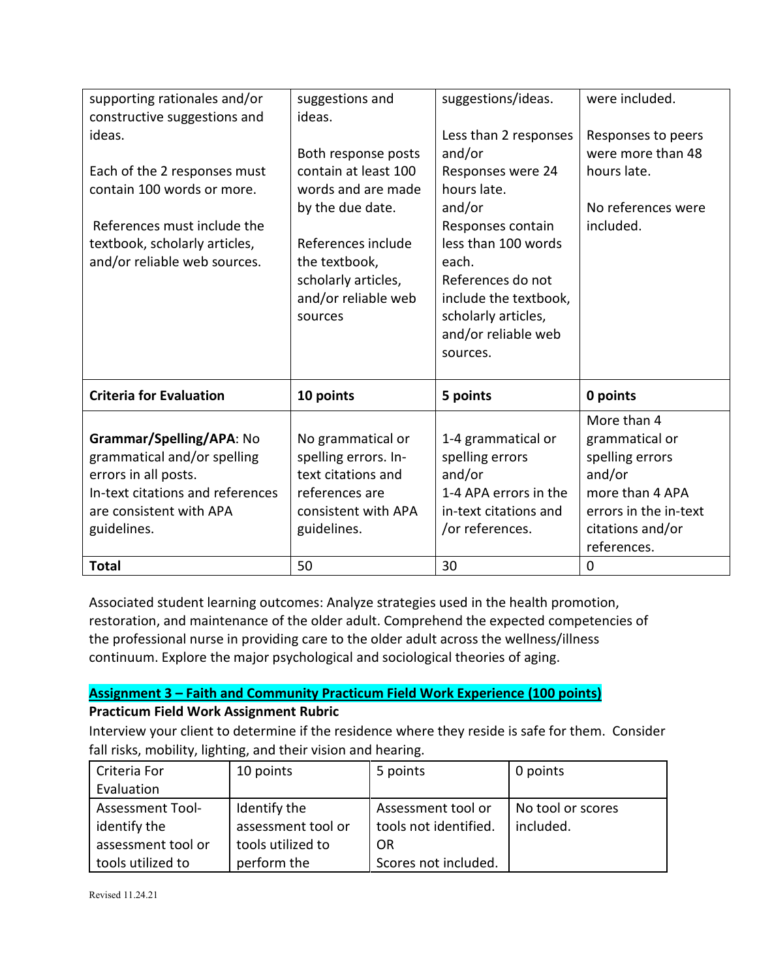|                                                              | suggestions and      | suggestions/ideas.    | were included.        |
|--------------------------------------------------------------|----------------------|-----------------------|-----------------------|
| supporting rationales and/or<br>constructive suggestions and | ideas.               |                       |                       |
|                                                              |                      |                       |                       |
| ideas.                                                       |                      | Less than 2 responses | Responses to peers    |
|                                                              | Both response posts  | and/or                | were more than 48     |
| Each of the 2 responses must                                 | contain at least 100 | Responses were 24     | hours late.           |
| contain 100 words or more.                                   | words and are made   | hours late.           |                       |
|                                                              | by the due date.     | and/or                | No references were    |
| References must include the                                  |                      | Responses contain     | included.             |
| textbook, scholarly articles,                                | References include   | less than 100 words   |                       |
| and/or reliable web sources.                                 | the textbook,        | each.                 |                       |
|                                                              | scholarly articles,  | References do not     |                       |
|                                                              | and/or reliable web  | include the textbook, |                       |
|                                                              | sources              | scholarly articles,   |                       |
|                                                              |                      |                       |                       |
|                                                              |                      | and/or reliable web   |                       |
|                                                              |                      | sources.              |                       |
|                                                              |                      |                       |                       |
|                                                              |                      |                       |                       |
| <b>Criteria for Evaluation</b>                               | 10 points            | 5 points              | 0 points              |
|                                                              |                      |                       | More than 4           |
| Grammar/Spelling/APA: No                                     | No grammatical or    | 1-4 grammatical or    | grammatical or        |
| grammatical and/or spelling                                  | spelling errors. In- | spelling errors       | spelling errors       |
| errors in all posts.                                         | text citations and   | and/or                | and/or                |
| In-text citations and references                             | references are       | 1-4 APA errors in the | more than 4 APA       |
| are consistent with APA                                      | consistent with APA  | in-text citations and | errors in the in-text |
| guidelines.                                                  | guidelines.          | /or references.       | citations and/or      |
|                                                              |                      |                       | references.           |

Associated student learning outcomes: Analyze strategies used in the health promotion, restoration, and maintenance of the older adult. Comprehend the expected competencies of the professional nurse in providing care to the older adult across the wellness/illness continuum. Explore the major psychological and sociological theories of aging.

# **Assignment 3 – Faith and Community Practicum Field Work Experience (100 points) Practicum Field Work Assignment Rubric**

Interview your client to determine if the residence where they reside is safe for them. Consider fall risks, mobility, lighting, and their vision and hearing.

| Criteria For            | 10 points          | 5 points              | 0 points          |
|-------------------------|--------------------|-----------------------|-------------------|
| Evaluation              |                    |                       |                   |
| <b>Assessment Tool-</b> | Identify the       | Assessment tool or    | No tool or scores |
| identify the            | assessment tool or | tools not identified. | included.         |
| assessment tool or      | tools utilized to  | OR                    |                   |
| tools utilized to       | perform the        | Scores not included.  |                   |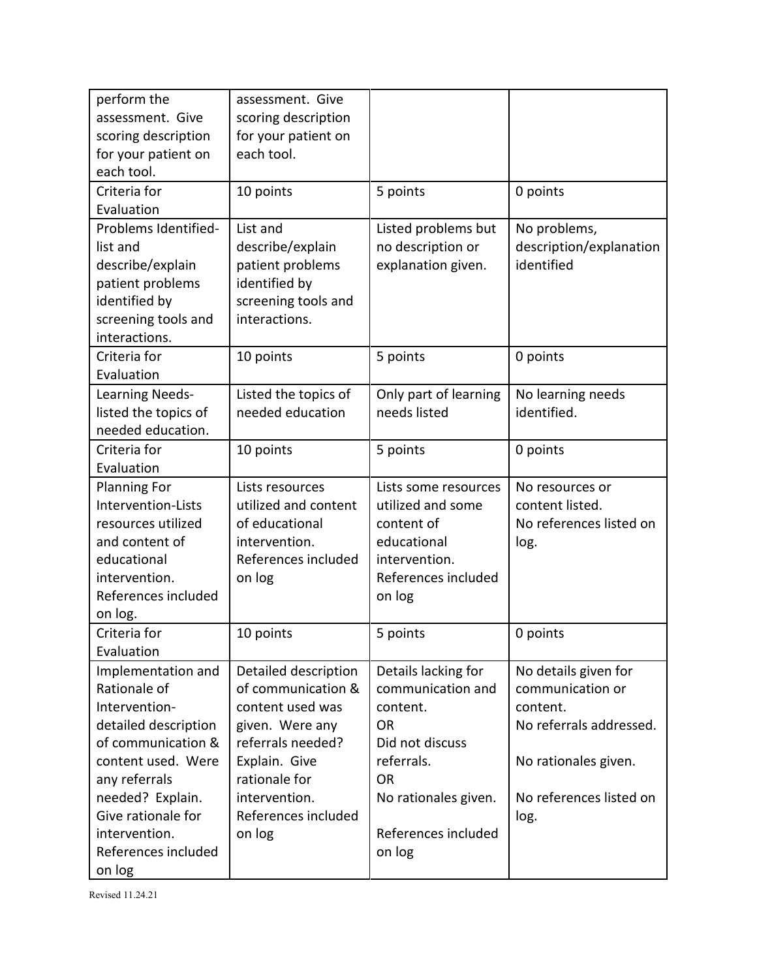| perform the          | assessment. Give     |                       |                         |
|----------------------|----------------------|-----------------------|-------------------------|
| assessment. Give     | scoring description  |                       |                         |
| scoring description  | for your patient on  |                       |                         |
| for your patient on  | each tool.           |                       |                         |
| each tool.           |                      |                       |                         |
| Criteria for         | 10 points            | 5 points              | 0 points                |
| Evaluation           |                      |                       |                         |
| Problems Identified- | List and             | Listed problems but   | No problems,            |
| list and             | describe/explain     | no description or     | description/explanation |
| describe/explain     | patient problems     | explanation given.    | identified              |
| patient problems     | identified by        |                       |                         |
| identified by        | screening tools and  |                       |                         |
| screening tools and  | interactions.        |                       |                         |
| interactions.        |                      |                       |                         |
| Criteria for         | 10 points            | 5 points              | 0 points                |
| Evaluation           |                      |                       |                         |
| Learning Needs-      | Listed the topics of | Only part of learning | No learning needs       |
| listed the topics of | needed education     | needs listed          | identified.             |
| needed education.    |                      |                       |                         |
| Criteria for         | 10 points            | 5 points              | 0 points                |
| Evaluation           |                      |                       |                         |
| <b>Planning For</b>  | Lists resources      | Lists some resources  | No resources or         |
| Intervention-Lists   | utilized and content | utilized and some     | content listed.         |
| resources utilized   | of educational       | content of            | No references listed on |
| and content of       | intervention.        | educational           | log.                    |
| educational          | References included  | intervention.         |                         |
| intervention.        | on log               | References included   |                         |
| References included  |                      | on log                |                         |
| on log.              |                      |                       |                         |
| Criteria for         | 10 points            | 5 points              | 0 points                |
| Evaluation           |                      |                       |                         |
| Implementation and   | Detailed description | Details lacking for   | No details given for    |
| Rationale of         | of communication &   | communication and     | communication or        |
| Intervention-        | content used was     | content.              | content.                |
| detailed description | given. Were any      | OR.                   | No referrals addressed. |
| of communication &   | referrals needed?    | Did not discuss       |                         |
| content used. Were   | Explain. Give        | referrals.            | No rationales given.    |
| any referrals        | rationale for        | <b>OR</b>             |                         |
| needed? Explain.     | intervention.        | No rationales given.  | No references listed on |
| Give rationale for   | References included  |                       | log.                    |
| intervention.        | on log               | References included   |                         |
| References included  |                      | on log                |                         |
| on log               |                      |                       |                         |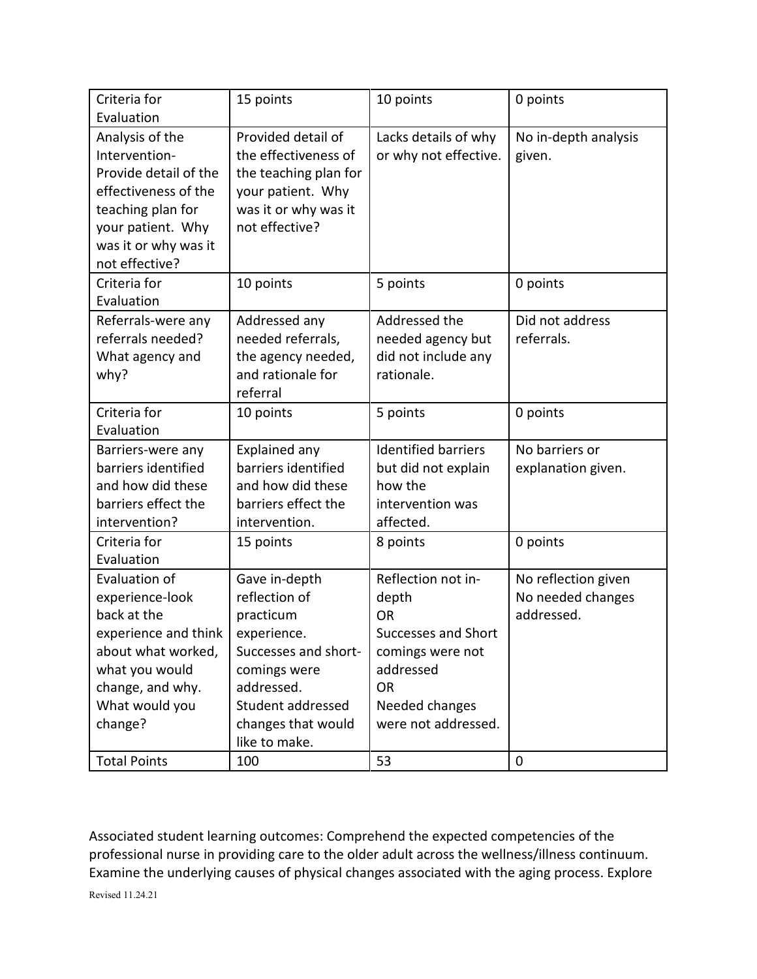| Criteria for          | 15 points             | 10 points                  | 0 points             |
|-----------------------|-----------------------|----------------------------|----------------------|
| Evaluation            |                       |                            |                      |
| Analysis of the       | Provided detail of    | Lacks details of why       | No in-depth analysis |
| Intervention-         | the effectiveness of  | or why not effective.      | given.               |
| Provide detail of the | the teaching plan for |                            |                      |
| effectiveness of the  | your patient. Why     |                            |                      |
| teaching plan for     | was it or why was it  |                            |                      |
| your patient. Why     | not effective?        |                            |                      |
| was it or why was it  |                       |                            |                      |
| not effective?        |                       |                            |                      |
| Criteria for          | 10 points             | 5 points                   | 0 points             |
| Evaluation            |                       |                            |                      |
| Referrals-were any    | Addressed any         | Addressed the              | Did not address      |
| referrals needed?     | needed referrals,     | needed agency but          | referrals.           |
| What agency and       | the agency needed,    | did not include any        |                      |
| why?                  | and rationale for     | rationale.                 |                      |
|                       | referral              |                            |                      |
| Criteria for          | 10 points             | 5 points                   | 0 points             |
| Evaluation            |                       |                            |                      |
| Barriers-were any     | Explained any         | <b>Identified barriers</b> | No barriers or       |
| barriers identified   | barriers identified   | but did not explain        | explanation given.   |
| and how did these     | and how did these     | how the                    |                      |
| barriers effect the   | barriers effect the   | intervention was           |                      |
| intervention?         | intervention.         | affected.                  |                      |
| Criteria for          | 15 points             | 8 points                   | 0 points             |
| Evaluation            |                       |                            |                      |
| Evaluation of         | Gave in-depth         | Reflection not in-         | No reflection given  |
| experience-look       | reflection of         | depth                      | No needed changes    |
| back at the           | practicum             | <b>OR</b>                  | addressed.           |
| experience and think  | experience.           | <b>Successes and Short</b> |                      |
| about what worked,    | Successes and short-  | comings were not           |                      |
| what you would        | comings were          | addressed                  |                      |
| change, and why.      | addressed.            | <b>OR</b>                  |                      |
| What would you        | Student addressed     | Needed changes             |                      |
| change?               | changes that would    | were not addressed.        |                      |
|                       | like to make.         |                            |                      |
| <b>Total Points</b>   | 100                   | 53                         | $\mathbf 0$          |

Associated student learning outcomes: Comprehend the expected competencies of the professional nurse in providing care to the older adult across the wellness/illness continuum. Examine the underlying causes of physical changes associated with the aging process. Explore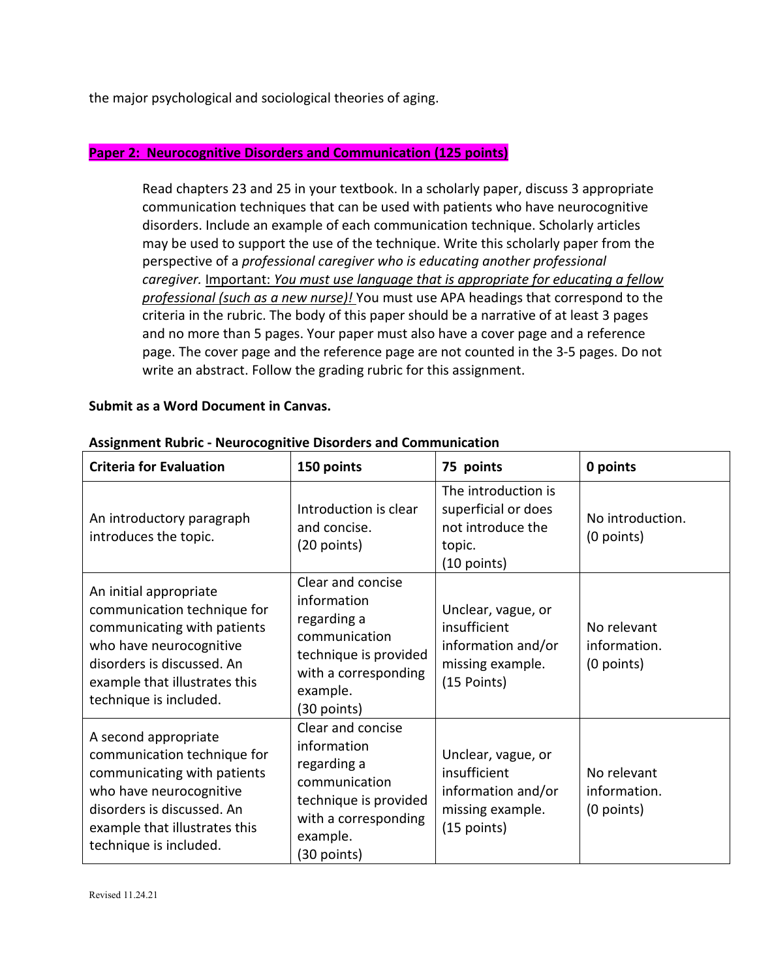the major psychological and sociological theories of aging.

#### **Paper 2: Neurocognitive Disorders and Communication (125 points)**

Read chapters 23 and 25 in your textbook. In a scholarly paper, discuss 3 appropriate communication techniques that can be used with patients who have neurocognitive disorders. Include an example of each communication technique. Scholarly articles may be used to support the use of the technique. Write this scholarly paper from the perspective of a *professional caregiver who is educating another professional caregiver.* Important: *You must use language that is appropriate for educating a fellow professional (such as a new nurse)!* You must use APA headings that correspond to the criteria in the rubric. The body of this paper should be a narrative of at least 3 pages and no more than 5 pages. Your paper must also have a cover page and a reference page. The cover page and the reference page are not counted in the 3-5 pages. Do not write an abstract. Follow the grading rubric for this assignment.

#### **Submit as a Word Document in Canvas.**

| <b>Criteria for Evaluation</b>                                                                                                                                                                           | 150 points                                                                                                                                     | 75 points                                                                                   | 0 points                                  |
|----------------------------------------------------------------------------------------------------------------------------------------------------------------------------------------------------------|------------------------------------------------------------------------------------------------------------------------------------------------|---------------------------------------------------------------------------------------------|-------------------------------------------|
| An introductory paragraph<br>introduces the topic.                                                                                                                                                       | Introduction is clear<br>and concise.<br>(20 points)                                                                                           | The introduction is<br>superficial or does<br>not introduce the<br>topic.<br>$(10$ points)  | No introduction.<br>$(0$ points)          |
| An initial appropriate<br>communication technique for<br>communicating with patients<br>who have neurocognitive<br>disorders is discussed. An<br>example that illustrates this<br>technique is included. | Clear and concise<br>information<br>regarding a<br>communication<br>technique is provided<br>with a corresponding<br>example.<br>$(30$ points) | Unclear, vague, or<br>insufficient<br>information and/or<br>missing example.<br>(15 Points) | No relevant<br>information.<br>(0 points) |
| A second appropriate<br>communication technique for<br>communicating with patients<br>who have neurocognitive<br>disorders is discussed. An<br>example that illustrates this<br>technique is included.   | Clear and concise<br>information<br>regarding a<br>communication<br>technique is provided<br>with a corresponding<br>example.<br>(30 points)   | Unclear, vague, or<br>insufficient<br>information and/or<br>missing example.<br>(15 points) | No relevant<br>information.<br>(0 points) |

#### **Assignment Rubric - Neurocognitive Disorders and Communication**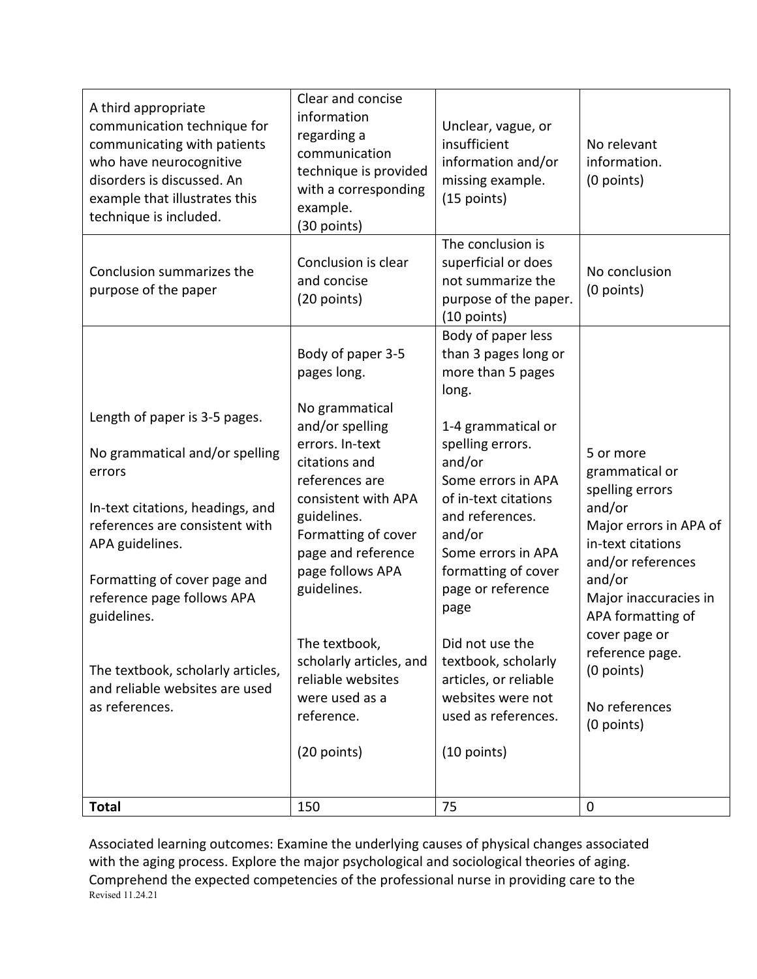| Length of paper is 3-5 pages.<br>No grammatical and/or spelling<br>errors<br>In-text citations, headings, and<br>references are consistent with<br>APA guidelines.<br>Formatting of cover page and<br>reference page follows APA<br>guidelines.<br>The textbook, scholarly articles,<br>and reliable websites are used<br>as references.<br><b>Total</b> | and/or spelling<br>errors. In-text<br>citations and<br>references are<br>consistent with APA<br>guidelines.<br>Formatting of cover<br>page and reference<br>page follows APA<br>guidelines.<br>The textbook,<br>scholarly articles, and<br>reliable websites<br>were used as a<br>reference.<br>(20 points)<br>150 | 1-4 grammatical or<br>spelling errors.<br>and/or<br>Some errors in APA<br>of in-text citations<br>and references.<br>and/or<br>Some errors in APA<br>formatting of cover<br>page or reference<br>page<br>Did not use the<br>textbook, scholarly<br>articles, or reliable<br>websites were not<br>used as references.<br>(10 points)<br>75 | 5 or more<br>grammatical or<br>spelling errors<br>and/or<br>Major errors in APA of<br>in-text citations<br>and/or references<br>and/or<br>Major inaccuracies in<br>APA formatting of<br>cover page or<br>reference page.<br>(0 points)<br>No references<br>(0 points)<br>$\mathbf 0$ |
|----------------------------------------------------------------------------------------------------------------------------------------------------------------------------------------------------------------------------------------------------------------------------------------------------------------------------------------------------------|--------------------------------------------------------------------------------------------------------------------------------------------------------------------------------------------------------------------------------------------------------------------------------------------------------------------|-------------------------------------------------------------------------------------------------------------------------------------------------------------------------------------------------------------------------------------------------------------------------------------------------------------------------------------------|--------------------------------------------------------------------------------------------------------------------------------------------------------------------------------------------------------------------------------------------------------------------------------------|
|                                                                                                                                                                                                                                                                                                                                                          | Body of paper 3-5<br>pages long.<br>No grammatical                                                                                                                                                                                                                                                                 | Body of paper less<br>than 3 pages long or<br>more than 5 pages<br>long.                                                                                                                                                                                                                                                                  |                                                                                                                                                                                                                                                                                      |
| Conclusion summarizes the<br>purpose of the paper                                                                                                                                                                                                                                                                                                        | Conclusion is clear<br>and concise<br>(20 points)                                                                                                                                                                                                                                                                  | The conclusion is<br>superficial or does<br>not summarize the<br>purpose of the paper.<br>(10 points)                                                                                                                                                                                                                                     | No conclusion<br>(0 points)                                                                                                                                                                                                                                                          |
| A third appropriate<br>communication technique for<br>communicating with patients<br>who have neurocognitive<br>disorders is discussed. An<br>example that illustrates this<br>technique is included.                                                                                                                                                    | Clear and concise<br>information<br>regarding a<br>communication<br>technique is provided<br>with a corresponding<br>example.<br>(30 points)                                                                                                                                                                       | Unclear, vague, or<br>insufficient<br>information and/or<br>missing example.<br>(15 points)                                                                                                                                                                                                                                               | No relevant<br>information.<br>(0 points)                                                                                                                                                                                                                                            |

Revised 11.24.21 Associated learning outcomes: Examine the underlying causes of physical changes associated with the aging process. Explore the major psychological and sociological theories of aging. Comprehend the expected competencies of the professional nurse in providing care to the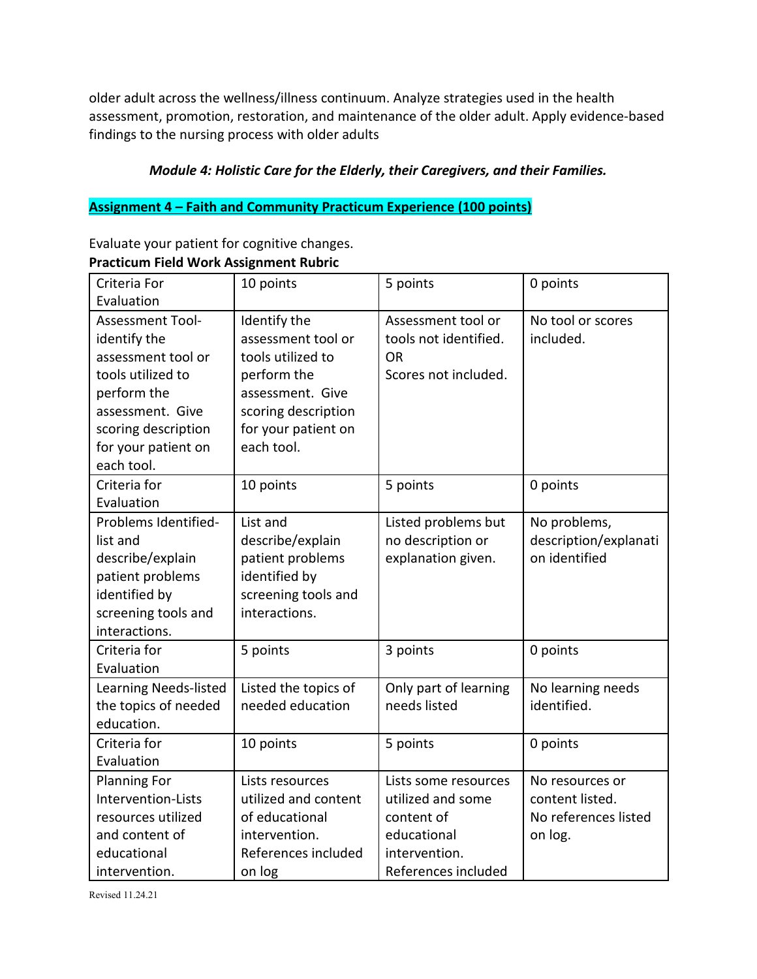older adult across the wellness/illness continuum. Analyze strategies used in the health assessment, promotion, restoration, and maintenance of the older adult. Apply evidence-based findings to the nursing process with older adults

# *Module 4: Holistic Care for the Elderly, their Caregivers, and their Families.*

# **Assignment 4 – Faith and Community Practicum Experience (100 points)**

Evaluate your patient for cognitive changes. **Practicum Field Work Assignment Rubric**

| Criteria For          | 10 points            | 5 points              | 0 points              |
|-----------------------|----------------------|-----------------------|-----------------------|
| Evaluation            |                      |                       |                       |
| Assessment Tool-      | Identify the         | Assessment tool or    | No tool or scores     |
| identify the          | assessment tool or   | tools not identified. | included.             |
| assessment tool or    | tools utilized to    | <b>OR</b>             |                       |
| tools utilized to     | perform the          | Scores not included.  |                       |
| perform the           | assessment. Give     |                       |                       |
| assessment. Give      | scoring description  |                       |                       |
| scoring description   | for your patient on  |                       |                       |
| for your patient on   | each tool.           |                       |                       |
| each tool.            |                      |                       |                       |
| Criteria for          | 10 points            | 5 points              | 0 points              |
| Evaluation            |                      |                       |                       |
| Problems Identified-  | List and             | Listed problems but   | No problems,          |
| list and              | describe/explain     | no description or     | description/explanati |
| describe/explain      | patient problems     | explanation given.    | on identified         |
| patient problems      | identified by        |                       |                       |
| identified by         | screening tools and  |                       |                       |
| screening tools and   | interactions.        |                       |                       |
| interactions.         |                      |                       |                       |
| Criteria for          | 5 points             | 3 points              | 0 points              |
| Evaluation            |                      |                       |                       |
| Learning Needs-listed | Listed the topics of | Only part of learning | No learning needs     |
| the topics of needed  | needed education     | needs listed          | identified.           |
| education.            |                      |                       |                       |
| Criteria for          | 10 points            | 5 points              | 0 points              |
| Evaluation            |                      |                       |                       |
| <b>Planning For</b>   | Lists resources      | Lists some resources  | No resources or       |
| Intervention-Lists    | utilized and content | utilized and some     | content listed.       |
| resources utilized    | of educational       | content of            | No references listed  |
| and content of        | intervention.        | educational           | on log.               |
| educational           | References included  | intervention.         |                       |
| intervention.         | on log               | References included   |                       |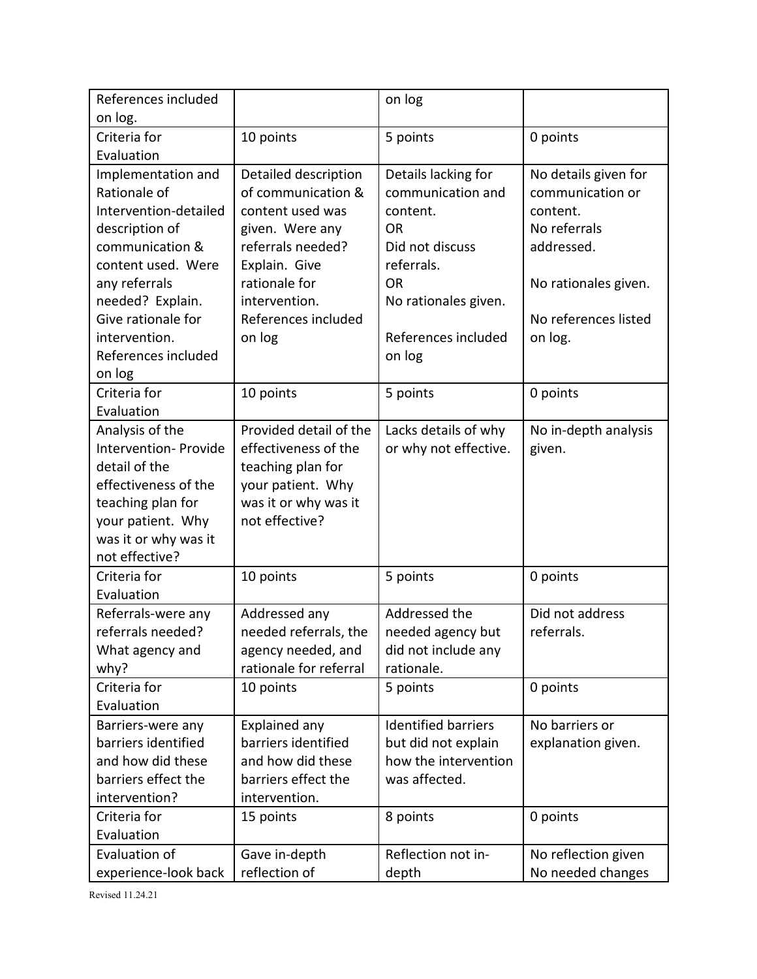| References included   |                        | on log                     |                      |
|-----------------------|------------------------|----------------------------|----------------------|
| on log.               |                        |                            |                      |
| Criteria for          | 10 points              | 5 points                   | 0 points             |
| Evaluation            |                        |                            |                      |
| Implementation and    | Detailed description   | Details lacking for        | No details given for |
| Rationale of          | of communication &     | communication and          | communication or     |
| Intervention-detailed | content used was       | content.                   | content.             |
| description of        | given. Were any        | <b>OR</b>                  | No referrals         |
| communication &       | referrals needed?      | Did not discuss            | addressed.           |
| content used. Were    | Explain. Give          | referrals.                 |                      |
| any referrals         | rationale for          | <b>OR</b>                  | No rationales given. |
| needed? Explain.      | intervention.          | No rationales given.       |                      |
| Give rationale for    | References included    |                            | No references listed |
| intervention.         | on log                 | References included        | on log.              |
| References included   |                        | on log                     |                      |
| on log                |                        |                            |                      |
| Criteria for          | 10 points              | 5 points                   | 0 points             |
| Evaluation            |                        |                            |                      |
| Analysis of the       | Provided detail of the | Lacks details of why       | No in-depth analysis |
| Intervention- Provide | effectiveness of the   | or why not effective.      | given.               |
| detail of the         | teaching plan for      |                            |                      |
| effectiveness of the  | your patient. Why      |                            |                      |
| teaching plan for     | was it or why was it   |                            |                      |
| your patient. Why     | not effective?         |                            |                      |
| was it or why was it  |                        |                            |                      |
| not effective?        |                        |                            |                      |
| Criteria for          | 10 points              | 5 points                   | 0 points             |
| Evaluation            |                        |                            |                      |
| Referrals-were any    | Addressed any          | Addressed the              | Did not address      |
| referrals needed?     | needed referrals, the  | needed agency but          | referrals.           |
| What agency and       | agency needed, and     | did not include any        |                      |
| why?                  | rationale for referral | rationale.                 |                      |
| Criteria for          | 10 points              | 5 points                   | 0 points             |
| Evaluation            |                        |                            |                      |
| Barriers-were any     | Explained any          | <b>Identified barriers</b> | No barriers or       |
| barriers identified   | barriers identified    | but did not explain        | explanation given.   |
| and how did these     | and how did these      | how the intervention       |                      |
| barriers effect the   | barriers effect the    | was affected.              |                      |
| intervention?         | intervention.          |                            |                      |
| Criteria for          | 15 points              | 8 points                   | 0 points             |
| Evaluation            |                        |                            |                      |
| Evaluation of         | Gave in-depth          | Reflection not in-         | No reflection given  |
| experience-look back  | reflection of          | depth                      | No needed changes    |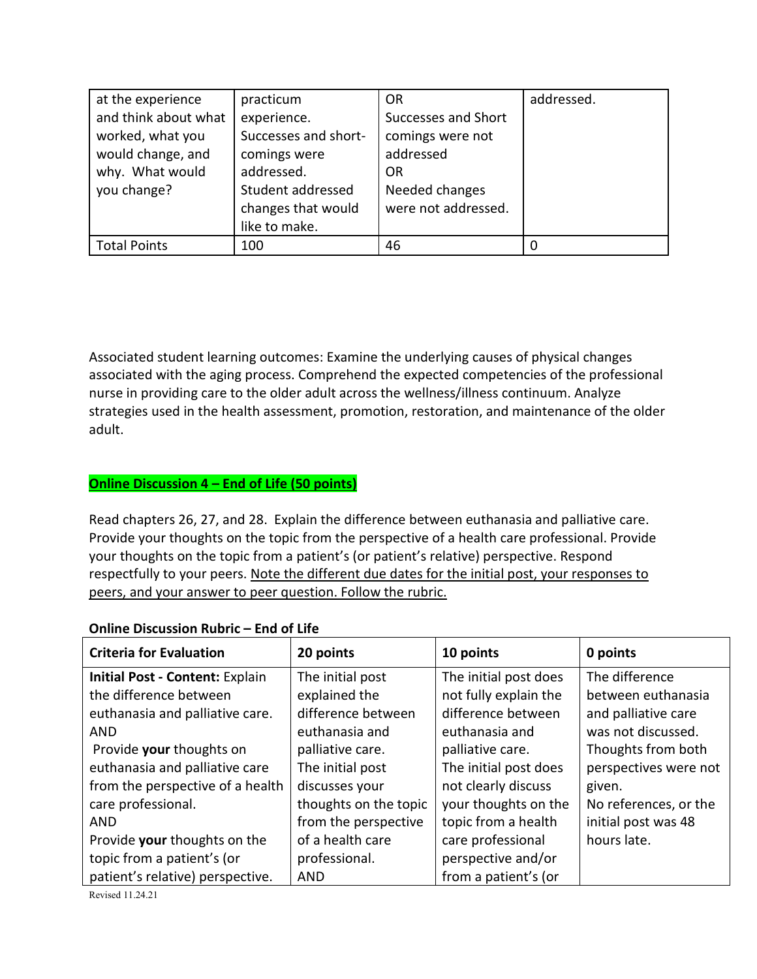| at the experience    | practicum            | <b>OR</b>           | addressed. |
|----------------------|----------------------|---------------------|------------|
| and think about what | experience.          | Successes and Short |            |
| worked, what you     | Successes and short- | comings were not    |            |
| would change, and    | comings were         | addressed           |            |
| why. What would      | addressed.           | OR                  |            |
| you change?          | Student addressed    | Needed changes      |            |
|                      | changes that would   | were not addressed. |            |
|                      | like to make.        |                     |            |
| <b>Total Points</b>  | 100                  | 46                  |            |

Associated student learning outcomes: Examine the underlying causes of physical changes associated with the aging process. Comprehend the expected competencies of the professional nurse in providing care to the older adult across the wellness/illness continuum. Analyze strategies used in the health assessment, promotion, restoration, and maintenance of the older adult.

# **Online Discussion 4 – End of Life (50 points)**

Read chapters 26, 27, and 28. Explain the difference between euthanasia and palliative care. Provide your thoughts on the topic from the perspective of a health care professional. Provide your thoughts on the topic from a patient's (or patient's relative) perspective. Respond respectfully to your peers. Note the different due dates for the initial post, your responses to peers, and your answer to peer question. Follow the rubric.

| <b>Criteria for Evaluation</b>         | 20 points             | 10 points             | 0 points              |  |  |
|----------------------------------------|-----------------------|-----------------------|-----------------------|--|--|
| <b>Initial Post - Content: Explain</b> | The initial post      | The initial post does | The difference        |  |  |
| the difference between                 | explained the         | not fully explain the | between euthanasia    |  |  |
| euthanasia and palliative care.        | difference between    | difference between    | and palliative care   |  |  |
| <b>AND</b>                             | euthanasia and        | euthanasia and        | was not discussed.    |  |  |
| Provide your thoughts on               | palliative care.      | palliative care.      | Thoughts from both    |  |  |
| euthanasia and palliative care         | The initial post      | The initial post does | perspectives were not |  |  |
| from the perspective of a health       | discusses your        | not clearly discuss   | given.                |  |  |
| care professional.                     | thoughts on the topic | your thoughts on the  | No references, or the |  |  |
| <b>AND</b>                             | from the perspective  | topic from a health   | initial post was 48   |  |  |
| Provide your thoughts on the           | of a health care      | care professional     | hours late.           |  |  |
| topic from a patient's (or             | professional.         | perspective and/or    |                       |  |  |
| patient's relative) perspective.       | <b>AND</b>            | from a patient's (or  |                       |  |  |

### **Online Discussion Rubric – End of Life**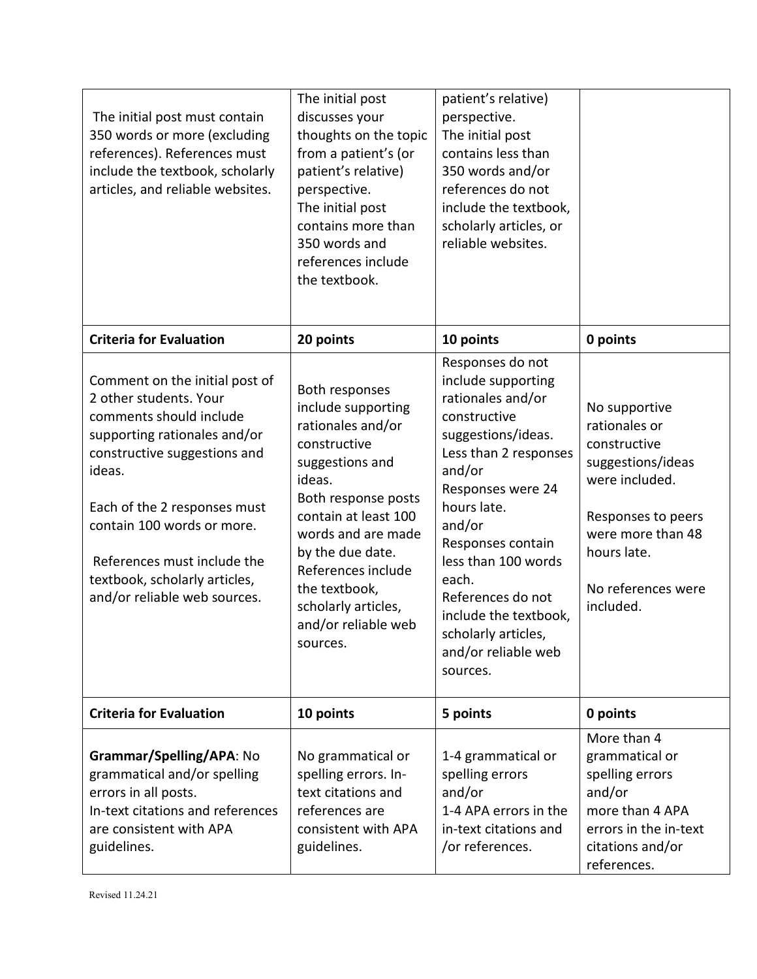| The initial post must contain<br>350 words or more (excluding<br>references). References must<br>include the textbook, scholarly<br>articles, and reliable websites.                                                                                                                                                        | The initial post<br>discusses your<br>thoughts on the topic<br>from a patient's (or<br>patient's relative)<br>perspective.<br>The initial post<br>contains more than<br>350 words and<br>references include<br>the textbook.                                                                     | patient's relative)<br>perspective.<br>The initial post<br>contains less than<br>350 words and/or<br>references do not<br>include the textbook,<br>scholarly articles, or<br>reliable websites.                                                                                                                                                 |                                                                                                                                                                                    |
|-----------------------------------------------------------------------------------------------------------------------------------------------------------------------------------------------------------------------------------------------------------------------------------------------------------------------------|--------------------------------------------------------------------------------------------------------------------------------------------------------------------------------------------------------------------------------------------------------------------------------------------------|-------------------------------------------------------------------------------------------------------------------------------------------------------------------------------------------------------------------------------------------------------------------------------------------------------------------------------------------------|------------------------------------------------------------------------------------------------------------------------------------------------------------------------------------|
| <b>Criteria for Evaluation</b>                                                                                                                                                                                                                                                                                              | 20 points                                                                                                                                                                                                                                                                                        | 10 points                                                                                                                                                                                                                                                                                                                                       | 0 points                                                                                                                                                                           |
| Comment on the initial post of<br>2 other students. Your<br>comments should include<br>supporting rationales and/or<br>constructive suggestions and<br>ideas.<br>Each of the 2 responses must<br>contain 100 words or more.<br>References must include the<br>textbook, scholarly articles,<br>and/or reliable web sources. | Both responses<br>include supporting<br>rationales and/or<br>constructive<br>suggestions and<br>ideas.<br>Both response posts<br>contain at least 100<br>words and are made<br>by the due date.<br>References include<br>the textbook,<br>scholarly articles,<br>and/or reliable web<br>sources. | Responses do not<br>include supporting<br>rationales and/or<br>constructive<br>suggestions/ideas.<br>Less than 2 responses<br>and/or<br>Responses were 24<br>hours late.<br>and/or<br>Responses contain<br>less than 100 words<br>each.<br>References do not<br>include the textbook,<br>scholarly articles,<br>and/or reliable web<br>sources. | No supportive<br>rationales or<br>constructive<br>suggestions/ideas<br>were included.<br>Responses to peers<br>were more than 48<br>hours late.<br>No references were<br>included. |
| <b>Criteria for Evaluation</b>                                                                                                                                                                                                                                                                                              | 10 points                                                                                                                                                                                                                                                                                        | 5 points                                                                                                                                                                                                                                                                                                                                        | 0 points                                                                                                                                                                           |
| Grammar/Spelling/APA: No<br>grammatical and/or spelling<br>errors in all posts.<br>In-text citations and references<br>are consistent with APA<br>guidelines.                                                                                                                                                               | No grammatical or<br>spelling errors. In-<br>text citations and<br>references are<br>consistent with APA<br>guidelines.                                                                                                                                                                          | 1-4 grammatical or<br>spelling errors<br>and/or<br>1-4 APA errors in the<br>in-text citations and<br>/or references.                                                                                                                                                                                                                            | More than 4<br>grammatical or<br>spelling errors<br>and/or<br>more than 4 APA<br>errors in the in-text<br>citations and/or<br>references.                                          |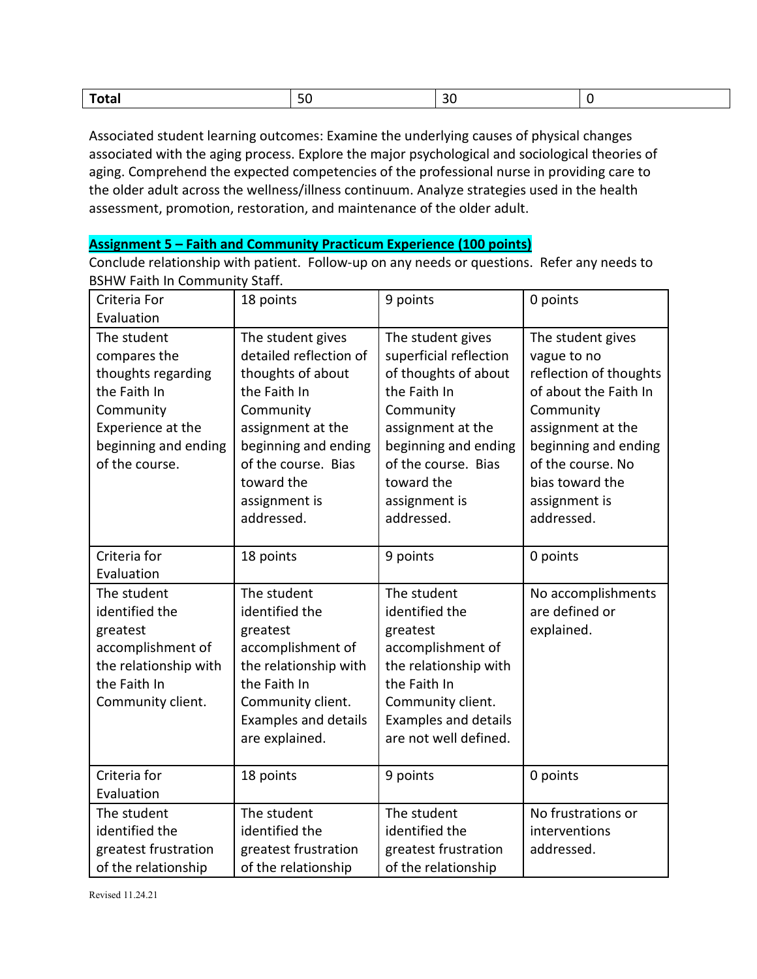| י<br>$\mathbf{v}$<br>.<br>--<br>____ | $-$ |  |  |  |
|--------------------------------------|-----|--|--|--|
|--------------------------------------|-----|--|--|--|

Associated student learning outcomes: Examine the underlying causes of physical changes associated with the aging process. Explore the major psychological and sociological theories of aging. Comprehend the expected competencies of the professional nurse in providing care to the older adult across the wellness/illness continuum. Analyze strategies used in the health assessment, promotion, restoration, and maintenance of the older adult.

#### **Assignment 5 – Faith and Community Practicum Experience (100 points)**

Conclude relationship with patient. Follow-up on any needs or questions. Refer any needs to BSHW Faith In Community Staff.

| Criteria For                                                                                                                                  | 18 points                                                                                                                                                                                                      | 9 points                                                                                                                                                                                                          | 0 points                                                                                                                                                                                                             |
|-----------------------------------------------------------------------------------------------------------------------------------------------|----------------------------------------------------------------------------------------------------------------------------------------------------------------------------------------------------------------|-------------------------------------------------------------------------------------------------------------------------------------------------------------------------------------------------------------------|----------------------------------------------------------------------------------------------------------------------------------------------------------------------------------------------------------------------|
| Evaluation                                                                                                                                    |                                                                                                                                                                                                                |                                                                                                                                                                                                                   |                                                                                                                                                                                                                      |
| The student<br>compares the<br>thoughts regarding<br>the Faith In<br>Community<br>Experience at the<br>beginning and ending<br>of the course. | The student gives<br>detailed reflection of<br>thoughts of about<br>the Faith In<br>Community<br>assignment at the<br>beginning and ending<br>of the course. Bias<br>toward the<br>assignment is<br>addressed. | The student gives<br>superficial reflection<br>of thoughts of about<br>the Faith In<br>Community<br>assignment at the<br>beginning and ending<br>of the course. Bias<br>toward the<br>assignment is<br>addressed. | The student gives<br>vague to no<br>reflection of thoughts<br>of about the Faith In<br>Community<br>assignment at the<br>beginning and ending<br>of the course. No<br>bias toward the<br>assignment is<br>addressed. |
| Criteria for<br>Evaluation                                                                                                                    | 18 points                                                                                                                                                                                                      | 9 points                                                                                                                                                                                                          | 0 points                                                                                                                                                                                                             |
| The student<br>identified the<br>greatest<br>accomplishment of<br>the relationship with<br>the Faith In<br>Community client.                  | The student<br>identified the<br>greatest<br>accomplishment of<br>the relationship with<br>the Faith In<br>Community client.<br><b>Examples and details</b><br>are explained.                                  | The student<br>identified the<br>greatest<br>accomplishment of<br>the relationship with<br>the Faith In<br>Community client.<br><b>Examples and details</b><br>are not well defined.                              | No accomplishments<br>are defined or<br>explained.                                                                                                                                                                   |
| Criteria for<br>Evaluation                                                                                                                    | 18 points                                                                                                                                                                                                      | 9 points                                                                                                                                                                                                          | 0 points                                                                                                                                                                                                             |
| The student<br>identified the<br>greatest frustration<br>of the relationship                                                                  | The student<br>identified the<br>greatest frustration<br>of the relationship                                                                                                                                   | The student<br>identified the<br>greatest frustration<br>of the relationship                                                                                                                                      | No frustrations or<br>interventions<br>addressed.                                                                                                                                                                    |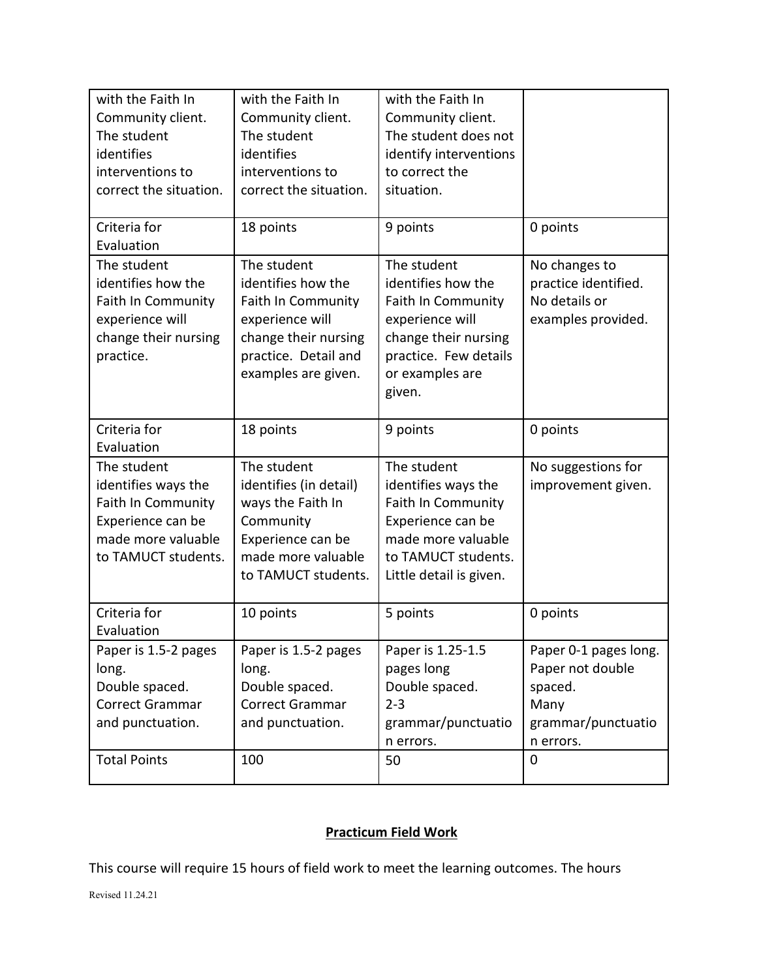| with the Faith In<br>Community client.<br>The student<br>identifies<br>interventions to<br>correct the situation.                 | with the Faith In<br>Community client.<br>The student<br>identifies<br>interventions to<br>correct the situation.                                        | with the Faith In<br>Community client.<br>The student does not<br>identify interventions<br>to correct the<br>situation.                                        |                                                                                                                |
|-----------------------------------------------------------------------------------------------------------------------------------|----------------------------------------------------------------------------------------------------------------------------------------------------------|-----------------------------------------------------------------------------------------------------------------------------------------------------------------|----------------------------------------------------------------------------------------------------------------|
| Criteria for<br>Evaluation                                                                                                        | 18 points                                                                                                                                                | 9 points                                                                                                                                                        | 0 points                                                                                                       |
| The student<br>identifies how the<br><b>Faith In Community</b><br>experience will<br>change their nursing<br>practice.            | The student<br>identifies how the<br><b>Faith In Community</b><br>experience will<br>change their nursing<br>practice. Detail and<br>examples are given. | The student<br>identifies how the<br><b>Faith In Community</b><br>experience will<br>change their nursing<br>practice. Few details<br>or examples are<br>given. | No changes to<br>practice identified.<br>No details or<br>examples provided.                                   |
| Criteria for<br>Evaluation                                                                                                        | 18 points                                                                                                                                                | 9 points                                                                                                                                                        | 0 points                                                                                                       |
| The student<br>identifies ways the<br><b>Faith In Community</b><br>Experience can be<br>made more valuable<br>to TAMUCT students. | The student<br>identifies (in detail)<br>ways the Faith In<br>Community<br>Experience can be<br>made more valuable<br>to TAMUCT students.                | The student<br>identifies ways the<br><b>Faith In Community</b><br>Experience can be<br>made more valuable<br>to TAMUCT students.<br>Little detail is given.    | No suggestions for<br>improvement given.                                                                       |
| Criteria for<br>Evaluation                                                                                                        | 10 points                                                                                                                                                | 5 points                                                                                                                                                        | 0 points                                                                                                       |
| Paper is 1.5-2 pages<br>long.<br>Double spaced.<br>Correct Grammar<br>and punctuation.<br><b>Total Points</b>                     | Paper is 1.5-2 pages<br>long.<br>Double spaced.<br>Correct Grammar<br>and punctuation.<br>100                                                            | Paper is 1.25-1.5<br>pages long<br>Double spaced.<br>$2 - 3$<br>grammar/punctuatio<br>n errors.<br>50                                                           | Paper 0-1 pages long.<br>Paper not double<br>spaced.<br>Many<br>grammar/punctuatio<br>n errors.<br>$\mathbf 0$ |
|                                                                                                                                   |                                                                                                                                                          |                                                                                                                                                                 |                                                                                                                |

# **Practicum Field Work**

This course will require 15 hours of field work to meet the learning outcomes. The hours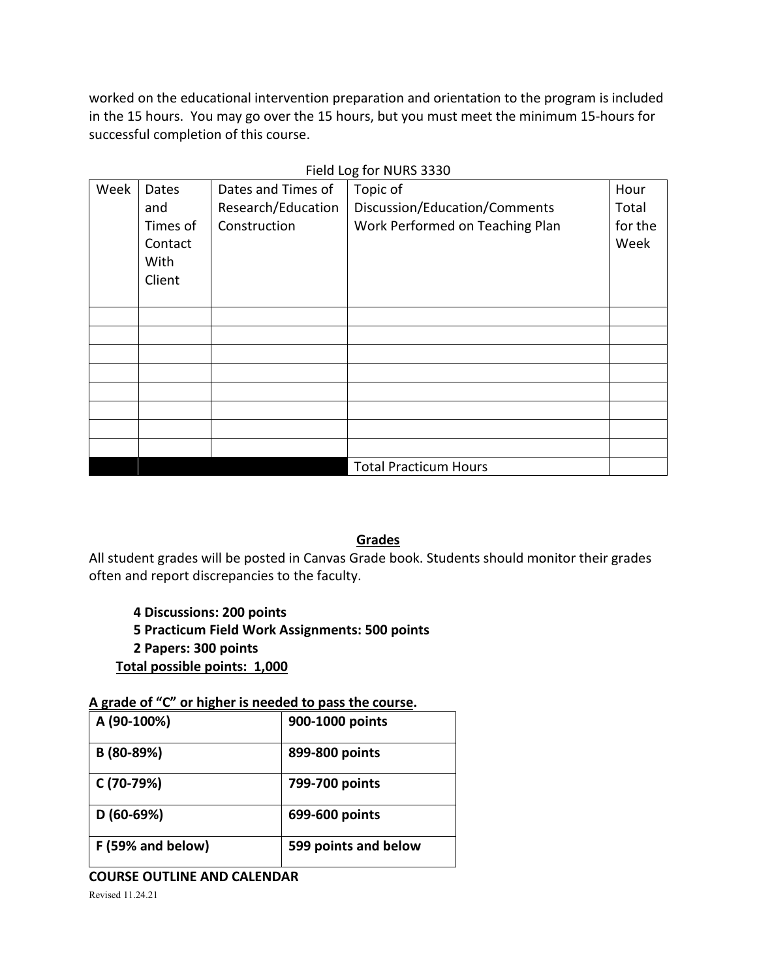worked on the educational intervention preparation and orientation to the program is included in the 15 hours. You may go over the 15 hours, but you must meet the minimum 15-hours for successful completion of this course.

| Week                         | Dates<br>and<br>Times of<br>Contact<br>With | Dates and Times of<br>Research/Education<br>Construction | Topic of<br>Discussion/Education/Comments<br>Work Performed on Teaching Plan | Hour<br>Total<br>for the<br>Week |
|------------------------------|---------------------------------------------|----------------------------------------------------------|------------------------------------------------------------------------------|----------------------------------|
|                              | Client                                      |                                                          |                                                                              |                                  |
|                              |                                             |                                                          |                                                                              |                                  |
|                              |                                             |                                                          |                                                                              |                                  |
|                              |                                             |                                                          |                                                                              |                                  |
|                              |                                             |                                                          |                                                                              |                                  |
|                              |                                             |                                                          |                                                                              |                                  |
|                              |                                             |                                                          |                                                                              |                                  |
|                              |                                             |                                                          |                                                                              |                                  |
|                              |                                             |                                                          |                                                                              |                                  |
| <b>Total Practicum Hours</b> |                                             |                                                          |                                                                              |                                  |

Field Log for NURS 3330

### **Grades**

All student grades will be posted in Canvas Grade book. Students should monitor their grades often and report discrepancies to the faculty.

- **4 Discussions: 200 points**
- **5 Practicum Field Work Assignments: 500 points**
- **2 Papers: 300 points**
- **Total possible points: 1,000**

# **A grade of "C" or higher is needed to pass the course.**

| A (90-100%)       | 900-1000 points      |
|-------------------|----------------------|
| B (80-89%)        | 899-800 points       |
| C (70-79%)        | 799-700 points       |
| $D(60-69%)$       | 699-600 points       |
| F (59% and below) | 599 points and below |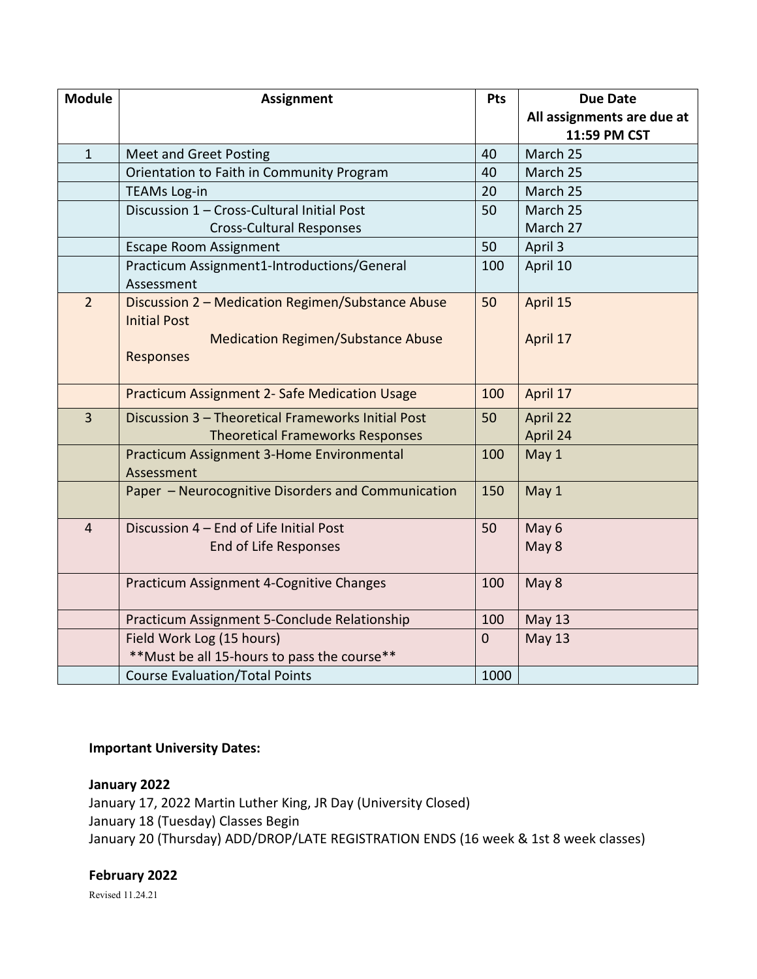| <b>Module</b>  | <b>Assignment</b>                                  | <b>Pts</b>   | <b>Due Date</b>            |
|----------------|----------------------------------------------------|--------------|----------------------------|
|                |                                                    |              | All assignments are due at |
|                |                                                    |              | 11:59 PM CST               |
| $\mathbf{1}$   | <b>Meet and Greet Posting</b>                      | 40           | March 25                   |
|                | Orientation to Faith in Community Program          | 40           | March 25                   |
|                | <b>TEAMs Log-in</b>                                | 20           | March 25                   |
|                | Discussion 1 - Cross-Cultural Initial Post         | 50           | March 25                   |
|                | <b>Cross-Cultural Responses</b>                    |              | March 27                   |
|                | <b>Escape Room Assignment</b>                      | 50           | April 3                    |
|                | Practicum Assignment1-Introductions/General        | 100          | April 10                   |
|                | Assessment                                         |              |                            |
| $\overline{2}$ | Discussion 2 - Medication Regimen/Substance Abuse  | 50           | April 15                   |
|                | <b>Initial Post</b>                                |              |                            |
|                | <b>Medication Regimen/Substance Abuse</b>          |              | April 17                   |
|                | <b>Responses</b>                                   |              |                            |
|                |                                                    |              |                            |
|                | Practicum Assignment 2- Safe Medication Usage      | 100          | April 17                   |
| $\overline{3}$ | Discussion 3 - Theoretical Frameworks Initial Post | 50           | April 22                   |
|                | <b>Theoretical Frameworks Responses</b>            |              | April 24                   |
|                | Practicum Assignment 3-Home Environmental          | 100          | May 1                      |
|                | Assessment                                         |              |                            |
|                | Paper - Neurocognitive Disorders and Communication | 150          | May 1                      |
|                |                                                    |              |                            |
| $\overline{4}$ | Discussion 4 - End of Life Initial Post            | 50           | May 6                      |
|                | End of Life Responses                              |              | May 8                      |
|                |                                                    |              |                            |
|                | Practicum Assignment 4-Cognitive Changes           | 100          | May 8                      |
|                |                                                    |              |                            |
|                | Practicum Assignment 5-Conclude Relationship       | 100          | <b>May 13</b>              |
|                | Field Work Log (15 hours)                          | $\mathbf{0}$ | <b>May 13</b>              |
|                | ** Must be all 15-hours to pass the course**       |              |                            |
|                | <b>Course Evaluation/Total Points</b>              | 1000         |                            |

### **Important University Dates:**

# **January 2022**

January 17, 2022 Martin Luther King, JR Day (University Closed) January 18 (Tuesday) Classes Begin January 20 (Thursday) ADD/DROP/LATE REGISTRATION ENDS (16 week & 1st 8 week classes)

## **February 2022**

Revised 11.24.21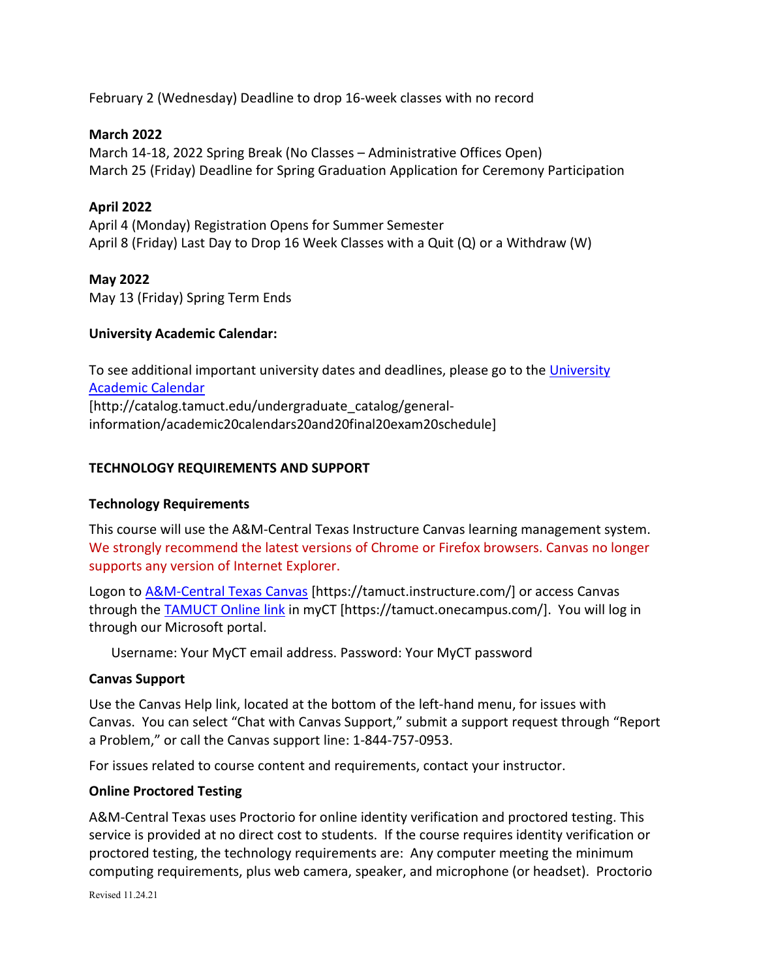February 2 (Wednesday) Deadline to drop 16-week classes with no record

## **March 2022**

March 14-18, 2022 Spring Break (No Classes – Administrative Offices Open) March 25 (Friday) Deadline for Spring Graduation Application for Ceremony Participation

# **April 2022**

April 4 (Monday) Registration Opens for Summer Semester April 8 (Friday) Last Day to Drop 16 Week Classes with a Quit (Q) or a Withdraw (W)

# **May 2022**

May 13 (Friday) Spring Term Ends

# **University Academic Calendar:**

To see additional important university dates and deadlines, please go to the University [Academic Calendar](http://catalog.tamuct.edu/undergraduate_catalog/general-information/academic20calendars20and20final20exam20schedule/) [http://catalog.tamuct.edu/undergraduate\_catalog/generalinformation/academic20calendars20and20final20exam20schedule]

# **TECHNOLOGY REQUIREMENTS AND SUPPORT**

### **Technology Requirements**

This course will use the A&M-Central Texas Instructure Canvas learning management system. We strongly recommend the latest versions of Chrome or Firefox browsers. Canvas no longer supports any version of Internet Explorer.

Logon to **A&M-Central Texas Canvas** [https://tamuct.instructure.com/] or access Canvas through the **TAMUCT Online link** in myCT [https://tamuct.onecampus.com/]. You will log in through our Microsoft portal.

Username: Your MyCT email address. Password: Your MyCT password

### **Canvas Support**

Use the Canvas Help link, located at the bottom of the left-hand menu, for issues with Canvas. You can select "Chat with Canvas Support," submit a support request through "Report a Problem," or call the Canvas support line: 1-844-757-0953.

For issues related to course content and requirements, contact your instructor.

### **Online Proctored Testing**

A&M-Central Texas uses Proctorio for online identity verification and proctored testing. This service is provided at no direct cost to students. If the course requires identity verification or proctored testing, the technology requirements are: Any computer meeting the minimum computing requirements, plus web camera, speaker, and microphone (or headset). Proctorio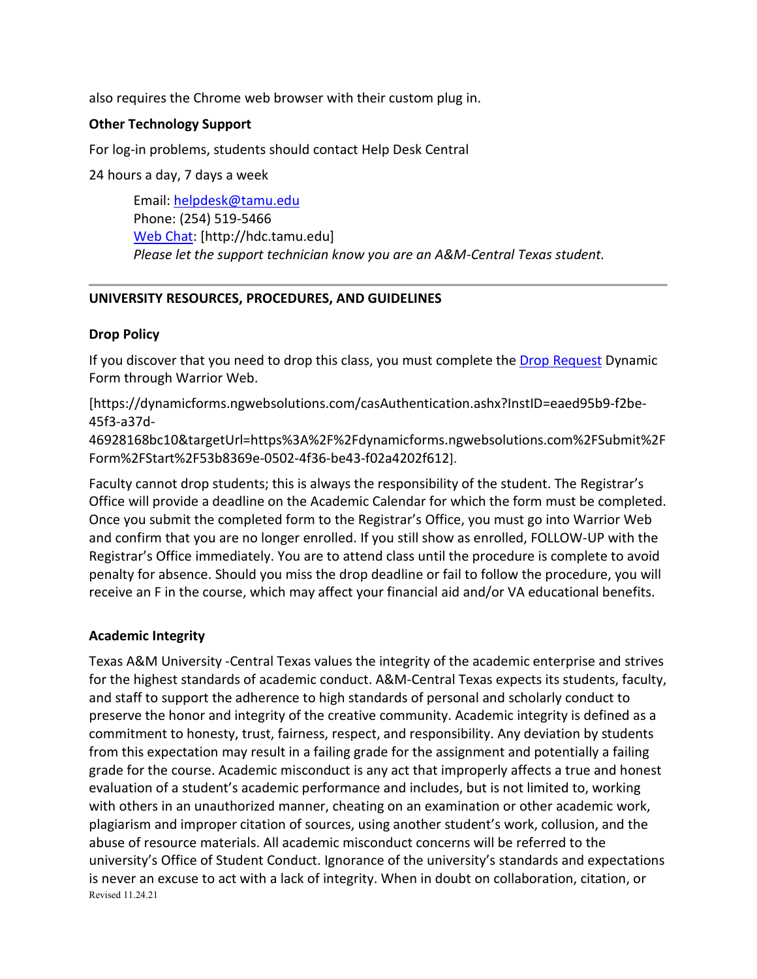also requires the Chrome web browser with their custom plug in.

### **Other Technology Support**

For log-in problems, students should contact Help Desk Central

24 hours a day, 7 days a week

Email: [helpdesk@tamu.edu](mailto:helpdesk@tamu.edu) Phone: (254) 519-5466 [Web Chat:](http://hdc.tamu.edu/) [http://hdc.tamu.edu] *Please let the support technician know you are an A&M-Central Texas student.*

# **UNIVERSITY RESOURCES, PROCEDURES, AND GUIDELINES**

# **Drop Policy**

If you discover that you need to drop this class, you must complete the [Drop Request](https://dynamicforms.ngwebsolutions.com/casAuthentication.ashx?InstID=eaed95b9-f2be-45f3-a37d-46928168bc10&targetUrl=https%3A%2F%2Fdynamicforms.ngwebsolutions.com%2FSubmit%2FForm%2FStart%2F53b8369e-0502-4f36-be43-f02a4202f612) Dynamic Form through Warrior Web.

[https://dynamicforms.ngwebsolutions.com/casAuthentication.ashx?InstID=eaed95b9-f2be-45f3-a37d-

46928168bc10&targetUrl=https%3A%2F%2Fdynamicforms.ngwebsolutions.com%2FSubmit%2F Form%2FStart%2F53b8369e-0502-4f36-be43-f02a4202f612].

Faculty cannot drop students; this is always the responsibility of the student. The Registrar's Office will provide a deadline on the Academic Calendar for which the form must be completed. Once you submit the completed form to the Registrar's Office, you must go into Warrior Web and confirm that you are no longer enrolled. If you still show as enrolled, FOLLOW-UP with the Registrar's Office immediately. You are to attend class until the procedure is complete to avoid penalty for absence. Should you miss the drop deadline or fail to follow the procedure, you will receive an F in the course, which may affect your financial aid and/or VA educational benefits.

# **Academic Integrity**

Revised 11.24.21 Texas A&M University -Central Texas values the integrity of the academic enterprise and strives for the highest standards of academic conduct. A&M-Central Texas expects its students, faculty, and staff to support the adherence to high standards of personal and scholarly conduct to preserve the honor and integrity of the creative community. Academic integrity is defined as a commitment to honesty, trust, fairness, respect, and responsibility. Any deviation by students from this expectation may result in a failing grade for the assignment and potentially a failing grade for the course. Academic misconduct is any act that improperly affects a true and honest evaluation of a student's academic performance and includes, but is not limited to, working with others in an unauthorized manner, cheating on an examination or other academic work, plagiarism and improper citation of sources, using another student's work, collusion, and the abuse of resource materials. All academic misconduct concerns will be referred to the university's Office of Student Conduct. Ignorance of the university's standards and expectations is never an excuse to act with a lack of integrity. When in doubt on collaboration, citation, or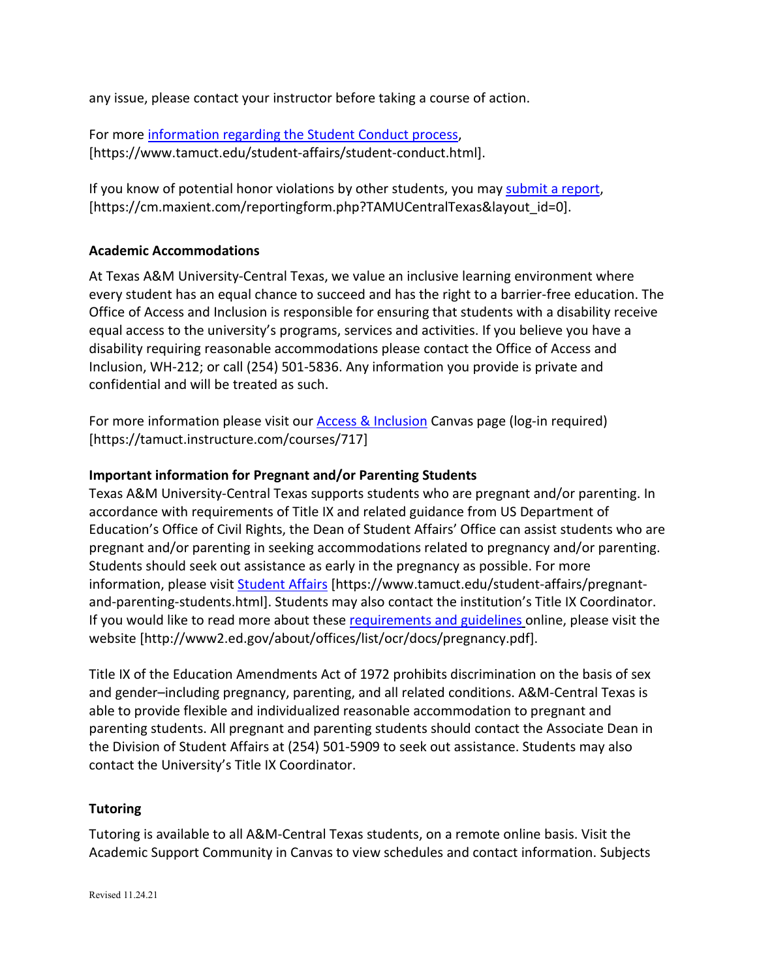any issue, please contact your instructor before taking a course of action.

For more [information regarding the Student Conduct process,](https://nam04.safelinks.protection.outlook.com/?url=https%3A%2F%2Fwww.tamuct.edu%2Fstudent-affairs%2Fstudent-conduct.html&data=04%7C01%7Clisa.bunkowski%40tamuct.edu%7Ccfb6e486f24745f53e1a08d910055cb2%7C9eed4e3000f744849ff193ad8005acec%7C0%7C0%7C637558437485252160%7CUnknown%7CTWFpbGZsb3d8eyJWIjoiMC4wLjAwMDAiLCJQIjoiV2luMzIiLCJBTiI6Ik1haWwiLCJXVCI6Mn0%3D%7C1000&sdata=yjftDEVHvLX%2FhM%2FcFU0B99krV1RgEWR%2BJ%2BhvtoR6TYk%3D&reserved=0) [https://www.tamuct.edu/student-affairs/student-conduct.html].

If you know of potential honor violations by other students, you may [submit a report,](https://nam04.safelinks.protection.outlook.com/?url=https%3A%2F%2Fcm.maxient.com%2Freportingform.php%3FTAMUCentralTexas%26layout_id%3D0&data=04%7C01%7Clisa.bunkowski%40tamuct.edu%7Ccfb6e486f24745f53e1a08d910055cb2%7C9eed4e3000f744849ff193ad8005acec%7C0%7C0%7C637558437485262157%7CUnknown%7CTWFpbGZsb3d8eyJWIjoiMC4wLjAwMDAiLCJQIjoiV2luMzIiLCJBTiI6Ik1haWwiLCJXVCI6Mn0%3D%7C1000&sdata=CXGkOa6uPDPX1IMZ87z3aZDq2n91xfHKu4MMS43Ejjk%3D&reserved=0) [https://cm.maxient.com/reportingform.php?TAMUCentralTexas&layout\_id=0].

# **Academic Accommodations**

At Texas A&M University-Central Texas, we value an inclusive learning environment where every student has an equal chance to succeed and has the right to a barrier-free education. The Office of Access and Inclusion is responsible for ensuring that students with a disability receive equal access to the university's programs, services and activities. If you believe you have a disability requiring reasonable accommodations please contact the Office of Access and Inclusion, WH-212; or call (254) 501-5836. Any information you provide is private and confidential and will be treated as such.

For more information please visit our [Access & Inclusion](https://tamuct.instructure.com/courses/717) Canvas page (log-in required) [https://tamuct.instructure.com/courses/717]

# **Important information for Pregnant and/or Parenting Students**

Texas A&M University-Central Texas supports students who are pregnant and/or parenting. In accordance with requirements of Title IX and related guidance from US Department of Education's Office of Civil Rights, the Dean of Student Affairs' Office can assist students who are pregnant and/or parenting in seeking accommodations related to pregnancy and/or parenting. Students should seek out assistance as early in the pregnancy as possible. For more information, please visit **Student Affairs** [https://www.tamuct.edu/student-affairs/pregnantand-parenting-students.html]. Students may also contact the institution's Title IX Coordinator. If you would like to read more about thes[e requirements and guidelines](http://www2.ed.gov/about/offices/list/ocr/docs/pregnancy.pdf) online, please visit the website [http://www2.ed.gov/about/offices/list/ocr/docs/pregnancy.pdf].

Title IX of the Education Amendments Act of 1972 prohibits discrimination on the basis of sex and gender–including pregnancy, parenting, and all related conditions. A&M-Central Texas is able to provide flexible and individualized reasonable accommodation to pregnant and parenting students. All pregnant and parenting students should contact the Associate Dean in the Division of Student Affairs at (254) 501-5909 to seek out assistance. Students may also contact the University's Title IX Coordinator.

### **Tutoring**

Tutoring is available to all A&M-Central Texas students, on a remote online basis. Visit the Academic Support Community in Canvas to view schedules and contact information. Subjects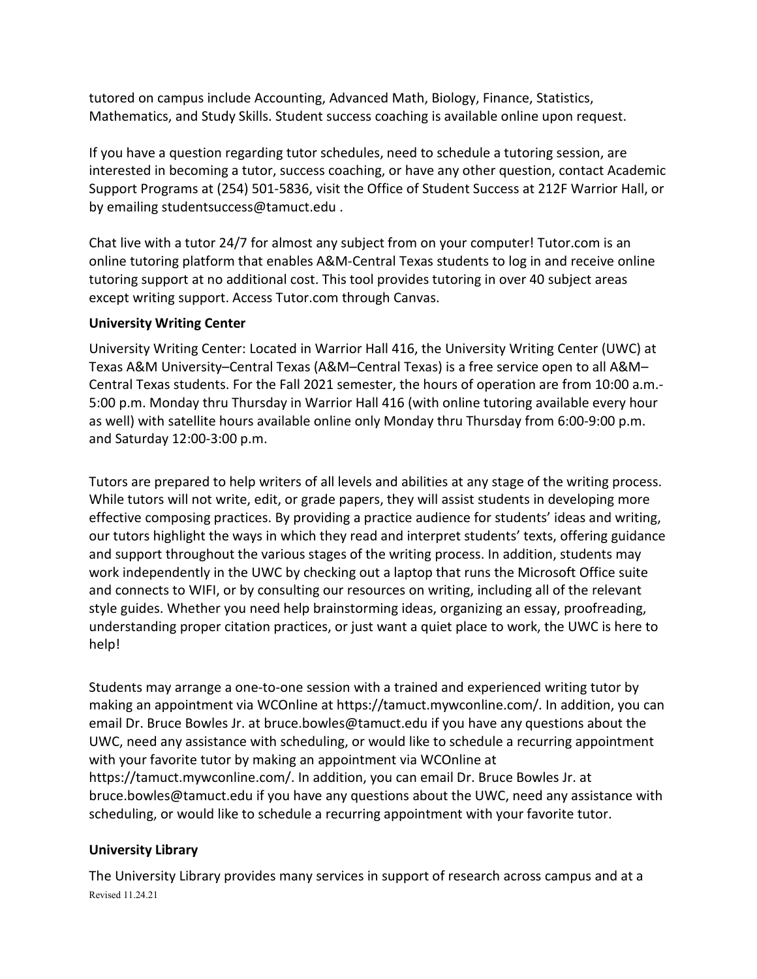tutored on campus include Accounting, Advanced Math, Biology, Finance, Statistics, Mathematics, and Study Skills. Student success coaching is available online upon request.

If you have a question regarding tutor schedules, need to schedule a tutoring session, are interested in becoming a tutor, success coaching, or have any other question, contact Academic Support Programs at (254) 501-5836, visit the Office of Student Success at 212F Warrior Hall, or by emailing studentsuccess@tamuct.edu .

Chat live with a tutor 24/7 for almost any subject from on your computer! Tutor.com is an online tutoring platform that enables A&M-Central Texas students to log in and receive online tutoring support at no additional cost. This tool provides tutoring in over 40 subject areas except writing support. Access Tutor.com through Canvas.

# **University Writing Center**

University Writing Center: Located in Warrior Hall 416, the University Writing Center (UWC) at Texas A&M University–Central Texas (A&M–Central Texas) is a free service open to all A&M– Central Texas students. For the Fall 2021 semester, the hours of operation are from 10:00 a.m.- 5:00 p.m. Monday thru Thursday in Warrior Hall 416 (with online tutoring available every hour as well) with satellite hours available online only Monday thru Thursday from 6:00-9:00 p.m. and Saturday 12:00-3:00 p.m.

Tutors are prepared to help writers of all levels and abilities at any stage of the writing process. While tutors will not write, edit, or grade papers, they will assist students in developing more effective composing practices. By providing a practice audience for students' ideas and writing, our tutors highlight the ways in which they read and interpret students' texts, offering guidance and support throughout the various stages of the writing process. In addition, students may work independently in the UWC by checking out a laptop that runs the Microsoft Office suite and connects to WIFI, or by consulting our resources on writing, including all of the relevant style guides. Whether you need help brainstorming ideas, organizing an essay, proofreading, understanding proper citation practices, or just want a quiet place to work, the UWC is here to help!

Students may arrange a one-to-one session with a trained and experienced writing tutor by making an appointment via WCOnline at https://tamuct.mywconline.com/. In addition, you can email Dr. Bruce Bowles Jr. at bruce.bowles@tamuct.edu if you have any questions about the UWC, need any assistance with scheduling, or would like to schedule a recurring appointment with your favorite tutor by making an appointment via WCOnline at https://tamuct.mywconline.com/. In addition, you can email Dr. Bruce Bowles Jr. at bruce.bowles@tamuct.edu if you have any questions about the UWC, need any assistance with scheduling, or would like to schedule a recurring appointment with your favorite tutor.

# **University Library**

Revised 11.24.21 The University Library provides many services in support of research across campus and at a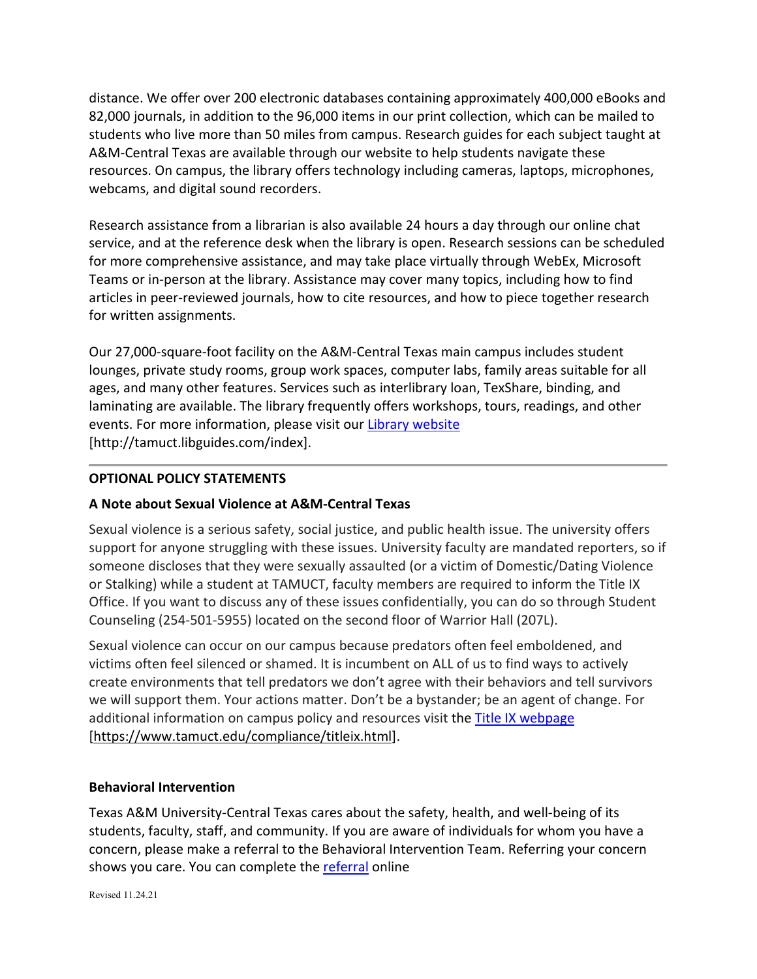distance. We offer over 200 electronic databases containing approximately 400,000 eBooks and 82,000 journals, in addition to the 96,000 items in our print collection, which can be mailed to students who live more than 50 miles from campus. Research guides for each subject taught at A&M-Central Texas are available through our website to help students navigate these resources. On campus, the library offers technology including cameras, laptops, microphones, webcams, and digital sound recorders.

Research assistance from a librarian is also available 24 hours a day through our online chat service, and at the reference desk when the library is open. Research sessions can be scheduled for more comprehensive assistance, and may take place virtually through WebEx, Microsoft Teams or in-person at the library. Assistance may cover many topics, including how to find articles in peer-reviewed journals, how to cite resources, and how to piece together research for written assignments.

Our 27,000-square-foot facility on the A&M-Central Texas main campus includes student lounges, private study rooms, group work spaces, computer labs, family areas suitable for all ages, and many other features. Services such as interlibrary loan, TexShare, binding, and laminating are available. The library frequently offers workshops, tours, readings, and other events. For more information, please visit our Library [website](https://nam04.safelinks.protection.outlook.com/?url=https%3A%2F%2Ftamuct.libguides.com%2Findex&data=04%7C01%7Clisa.bunkowski%40tamuct.edu%7C7d8489e8839a4915335f08d916f067f2%7C9eed4e3000f744849ff193ad8005acec%7C0%7C0%7C637566044056484222%7CUnknown%7CTWFpbGZsb3d8eyJWIjoiMC4wLjAwMDAiLCJQIjoiV2luMzIiLCJBTiI6Ik1haWwiLCJXVCI6Mn0%3D%7C1000&sdata=2R755V6rcIyedGrd4Os5rkgn1PvhHKU3kUV1vBKiHFo%3D&reserved=0) [http://tamuct.libguides.com/index].

# **OPTIONAL POLICY STATEMENTS**

### **A Note about Sexual Violence at A&M-Central Texas**

Sexual violence is a serious safety, social justice, and public health issue. The university offers support for anyone struggling with these issues. University faculty are mandated reporters, so if someone discloses that they were sexually assaulted (or a victim of Domestic/Dating Violence or Stalking) while a student at TAMUCT, faculty members are required to inform the Title IX Office. If you want to discuss any of these issues confidentially, you can do so through Student Counseling (254-501-5955) located on the second floor of Warrior Hall (207L).

Sexual violence can occur on our campus because predators often feel emboldened, and victims often feel silenced or shamed. It is incumbent on ALL of us to find ways to actively create environments that tell predators we don't agree with their behaviors and tell survivors we will support them. Your actions matter. Don't be a bystander; be an agent of change. For additional information on campus policy and resources visit the **Title IX webpage** [\[https://www.tamuct.edu/compliance/titleix.html\]](https://www.tamuct.edu/compliance/titleix.html).

### **Behavioral Intervention**

Texas A&M University-Central Texas cares about the safety, health, and well-being of its students, faculty, staff, and community. If you are aware of individuals for whom you have a concern, please make a referral to the Behavioral Intervention Team. Referring your concern shows you care. You can complete the [referral](https://cm.maxient.com/reportingform.php?TAMUCentralTexas&layout_id=2) online